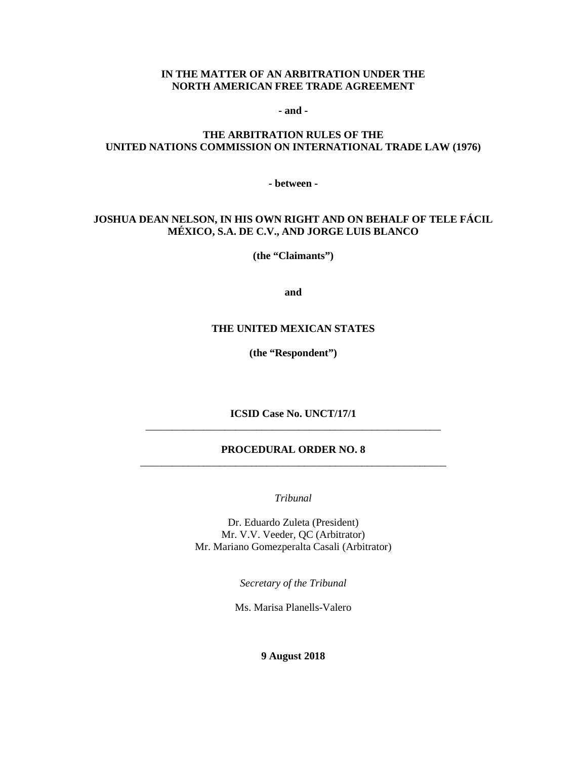#### **IN THE MATTER OF AN ARBITRATION UNDER THE NORTH AMERICAN FREE TRADE AGREEMENT**

**- and -**

### **THE ARBITRATION RULES OF THE UNITED NATIONS COMMISSION ON INTERNATIONAL TRADE LAW (1976)**

**- between -**

### **JOSHUA DEAN NELSON, IN HIS OWN RIGHT AND ON BEHALF OF TELE FÁCIL MÉXICO, S.A. DE C.V., AND JORGE LUIS BLANCO**

**(the "Claimants")**

**and**

#### **THE UNITED MEXICAN STATES**

**(the "Respondent")**

**ICSID Case No. UNCT/17/1** \_\_\_\_\_\_\_\_\_\_\_\_\_\_\_\_\_\_\_\_\_\_\_\_\_\_\_\_\_\_\_\_\_\_\_\_\_\_\_\_\_\_\_\_\_\_\_\_\_\_\_\_\_\_\_\_

#### **PROCEDURAL ORDER NO. 8** \_\_\_\_\_\_\_\_\_\_\_\_\_\_\_\_\_\_\_\_\_\_\_\_\_\_\_\_\_\_\_\_\_\_\_\_\_\_\_\_\_\_\_\_\_\_\_\_\_\_\_\_\_\_\_\_\_\_

*Tribunal*

Dr. Eduardo Zuleta (President) Mr. V.V. Veeder, QC (Arbitrator) Mr. Mariano Gomezperalta Casali (Arbitrator)

*Secretary of the Tribunal*

Ms. Marisa Planells-Valero

**9 August 2018**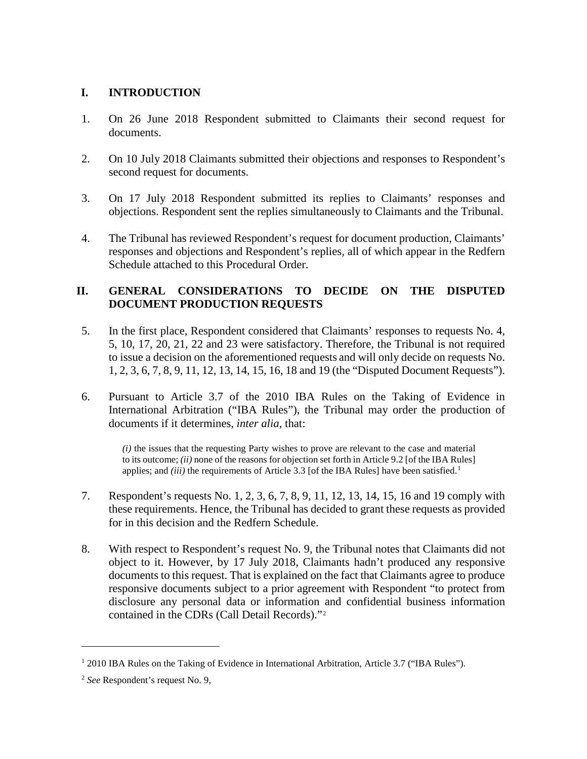## **I. INTRODUCTION**

- 1. On 26 June 2018 Respondent submitted to Claimants their second request for documents.
- 2. On 10 July 2018 Claimants submitted their objections and responses to Respondent's second request for documents.
- 3. On 17 July 2018 Respondent submitted its replies to Claimants' responses and objections. Respondent sent the replies simultaneously to Claimants and the Tribunal.
- 4. The Tribunal has reviewed Respondent's request for document production, Claimants' responses and objections and Respondent's replies, all of which appear in the Redfern Schedule attached to this Procedural Order.

## **II. GENERAL CONSIDERATIONS TO DECIDE ON THE DISPUTED DOCUMENT PRODUCTION REQUESTS**

- 5. In the first place, Respondent considered that Claimants' responses to requests No. 4, 5, 10, 17, 20, 21, 22 and 23 were satisfactory. Therefore, the Tribunal is not required to issue a decision on the aforementioned requests and will only decide on requests No. 1, 2, 3, 6, 7, 8, 9, 11, 12, 13, 14, 15, 16, 18 and 19 (the "Disputed Document Requests").
- 6. Pursuant to Article 3.7 of the 2010 IBA Rules on the Taking of Evidence in International Arbitration ("IBA Rules"), the Tribunal may order the production of documents if it determines, *inter alia*, that:

*(i)* the issues that the requesting Party wishes to prove are relevant to the case and material to its outcome; *(ii)* none of the reasons for objection set forth in Article 9.2 [of the IBA Rules] applies; and *(iii)* the requirements of Article 3.3 [of the IBA Rules] have been satisfied.<sup>[1](#page-1-0)</sup>

- 7. Respondent's requests No. 1, 2, 3, 6, 7, 8, 9, 11, 12, 13, 14, 15, 16 and 19 comply with these requirements. Hence, the Tribunal has decided to grant these requests as provided for in this decision and the Redfern Schedule.
- 8. With respect to Respondent's request No. 9, the Tribunal notes that Claimants did not object to it. However, by 17 July 2018, Claimants hadn't produced any responsive documents to this request. That is explained on the fact that Claimants agree to produce responsive documents subject to a prior agreement with Respondent "to protect from disclosure any personal data or information and confidential business information contained in the CDRs (Call Detail Records)."[2](#page-1-1)

-

<span id="page-1-0"></span><sup>&</sup>lt;sup>1</sup> 2010 IBA Rules on the Taking of Evidence in International Arbitration, Article 3.7 ("IBA Rules").

<span id="page-1-1"></span><sup>2</sup> *See* Respondent's request No. 9,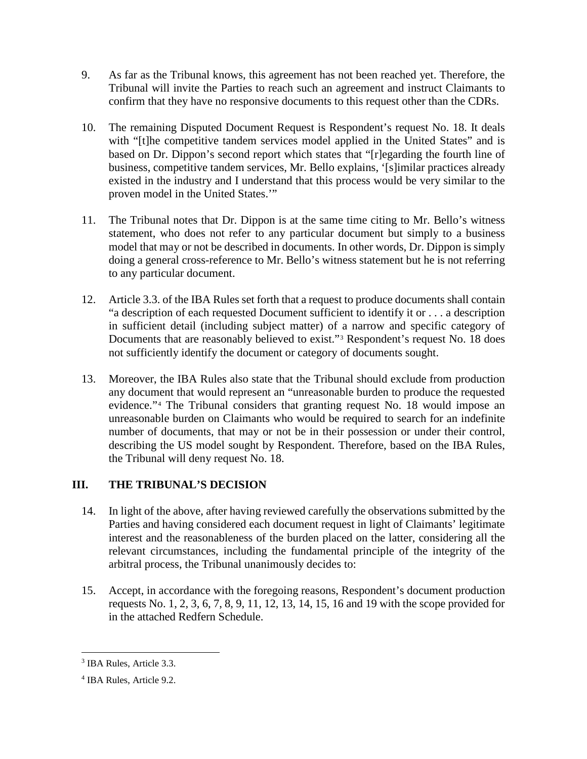- 9. As far as the Tribunal knows, this agreement has not been reached yet. Therefore, the Tribunal will invite the Parties to reach such an agreement and instruct Claimants to confirm that they have no responsive documents to this request other than the CDRs.
- 10. The remaining Disputed Document Request is Respondent's request No. 18. It deals with "[t]he competitive tandem services model applied in the United States" and is based on Dr. Dippon's second report which states that "[r]egarding the fourth line of business, competitive tandem services, Mr. Bello explains, '[s]imilar practices already existed in the industry and I understand that this process would be very similar to the proven model in the United States.'"
- 11. The Tribunal notes that Dr. Dippon is at the same time citing to Mr. Bello's witness statement, who does not refer to any particular document but simply to a business model that may or not be described in documents. In other words, Dr. Dippon is simply doing a general cross-reference to Mr. Bello's witness statement but he is not referring to any particular document.
- 12. Article 3.3. of the IBA Rules set forth that a request to produce documents shall contain "a description of each requested Document sufficient to identify it or . . . a description in sufficient detail (including subject matter) of a narrow and specific category of Documents that are reasonably believed to exist."<sup>[3](#page-2-0)</sup> Respondent's request No. 18 does not sufficiently identify the document or category of documents sought.
- 13. Moreover, the IBA Rules also state that the Tribunal should exclude from production any document that would represent an "unreasonable burden to produce the requested evidence."[4](#page-2-1) The Tribunal considers that granting request No. 18 would impose an unreasonable burden on Claimants who would be required to search for an indefinite number of documents, that may or not be in their possession or under their control, describing the US model sought by Respondent. Therefore, based on the IBA Rules, the Tribunal will deny request No. 18.

# **III. THE TRIBUNAL'S DECISION**

- 14. In light of the above, after having reviewed carefully the observations submitted by the Parties and having considered each document request in light of Claimants' legitimate interest and the reasonableness of the burden placed on the latter, considering all the relevant circumstances, including the fundamental principle of the integrity of the arbitral process, the Tribunal unanimously decides to:
- 15. Accept, in accordance with the foregoing reasons, Respondent's document production requests No. 1, 2, 3, 6, 7, 8, 9, 11, 12, 13, 14, 15, 16 and 19 with the scope provided for in the attached Redfern Schedule.

<span id="page-2-0"></span> <sup>3</sup> IBA Rules, Article 3.3.

<span id="page-2-1"></span><sup>4</sup> IBA Rules, Article 9.2.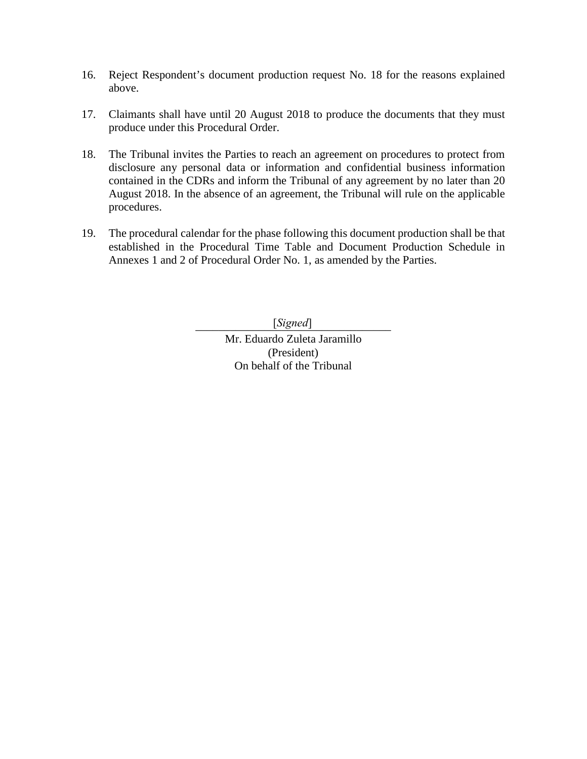- 16. Reject Respondent's document production request No. 18 for the reasons explained above.
- 17. Claimants shall have until 20 August 2018 to produce the documents that they must produce under this Procedural Order.
- 18. The Tribunal invites the Parties to reach an agreement on procedures to protect from disclosure any personal data or information and confidential business information contained in the CDRs and inform the Tribunal of any agreement by no later than 20 August 2018. In the absence of an agreement, the Tribunal will rule on the applicable procedures.
- 19. The procedural calendar for the phase following this document production shall be that established in the Procedural Time Table and Document Production Schedule in Annexes 1 and 2 of Procedural Order No. 1, as amended by the Parties.

\_\_\_\_\_\_\_\_\_\_\_\_\_\_\_\_\_\_\_\_\_\_\_\_\_\_\_\_\_\_\_\_\_\_ [*Signed*]Mr. Eduardo Zuleta Jaramillo (President) On behalf of the Tribunal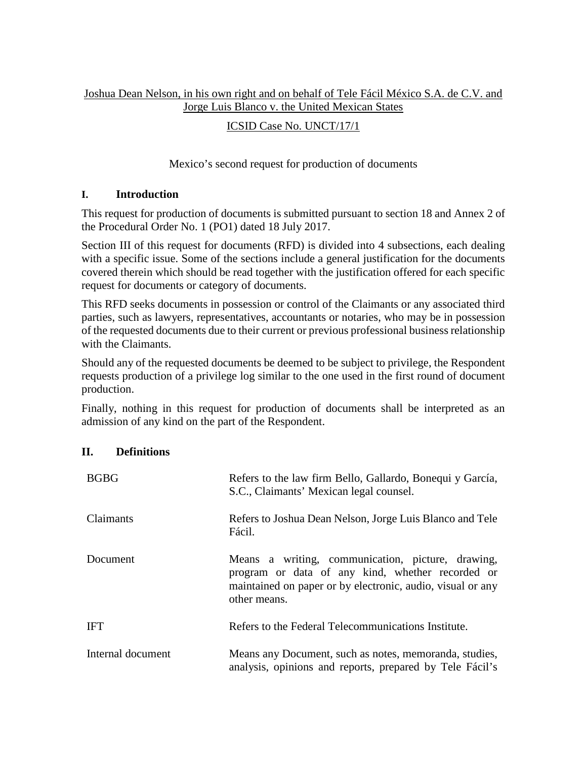## Joshua Dean Nelson, in his own right and on behalf of Tele Fácil México S.A. de C.V. and Jorge Luis Blanco v. the United Mexican States

## ICSID Case No. UNCT/17/1

## Mexico's second request for production of documents

## **I. Introduction**

This request for production of documents is submitted pursuant to section 18 and Annex 2 of the Procedural Order No. 1 (PO1) dated 18 July 2017.

Section III of this request for documents (RFD) is divided into 4 subsections, each dealing with a specific issue. Some of the sections include a general justification for the documents covered therein which should be read together with the justification offered for each specific request for documents or category of documents.

This RFD seeks documents in possession or control of the Claimants or any associated third parties, such as lawyers, representatives, accountants or notaries, who may be in possession of the requested documents due to their current or previous professional business relationship with the Claimants.

Should any of the requested documents be deemed to be subject to privilege, the Respondent requests production of a privilege log similar to the one used in the first round of document production.

Finally, nothing in this request for production of documents shall be interpreted as an admission of any kind on the part of the Respondent.

### **II. Definitions**

| <b>BGBG</b>       | Refers to the law firm Bello, Gallardo, Bonequi y García,<br>S.C., Claimants' Mexican legal counsel.                                                                                |
|-------------------|-------------------------------------------------------------------------------------------------------------------------------------------------------------------------------------|
| Claimants         | Refers to Joshua Dean Nelson, Jorge Luis Blanco and Tele<br>Fácil.                                                                                                                  |
| Document          | Means a writing, communication, picture, drawing,<br>program or data of any kind, whether recorded or<br>maintained on paper or by electronic, audio, visual or any<br>other means. |
| <b>IFT</b>        | Refers to the Federal Telecommunications Institute.                                                                                                                                 |
| Internal document | Means any Document, such as notes, memoranda, studies,<br>analysis, opinions and reports, prepared by Tele Fácil's                                                                  |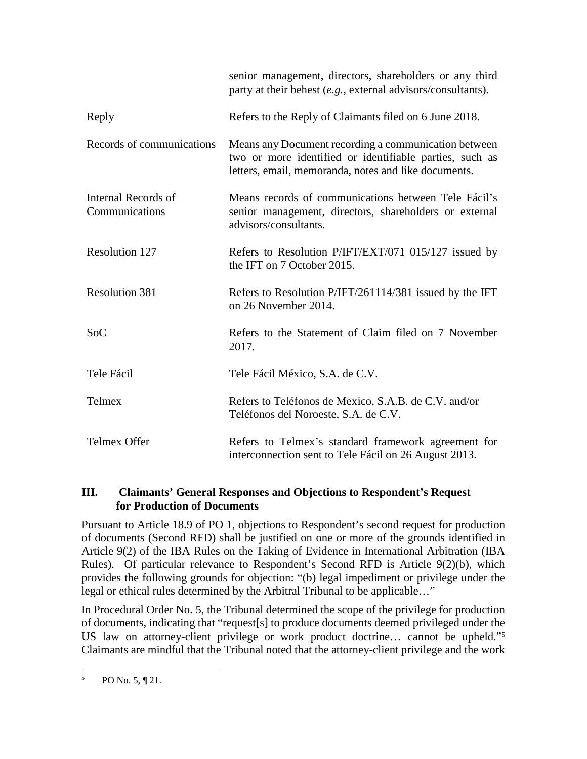|                                       | senior management, directors, shareholders or any third<br>party at their behest (e.g., external advisors/consultants).                                                 |
|---------------------------------------|-------------------------------------------------------------------------------------------------------------------------------------------------------------------------|
| Reply                                 | Refers to the Reply of Claimants filed on 6 June 2018.                                                                                                                  |
| Records of communications             | Means any Document recording a communication between<br>two or more identified or identifiable parties, such as<br>letters, email, memoranda, notes and like documents. |
| Internal Records of<br>Communications | Means records of communications between Tele Fácil's<br>senior management, directors, shareholders or external<br>advisors/consultants.                                 |
| Resolution 127                        | Refers to Resolution P/IFT/EXT/071 015/127 issued by<br>the IFT on 7 October 2015.                                                                                      |
| <b>Resolution 381</b>                 | Refers to Resolution P/IFT/261114/381 issued by the IFT<br>on 26 November 2014.                                                                                         |
| Soc                                   | Refers to the Statement of Claim filed on 7 November<br>2017.                                                                                                           |
| Tele Fácil                            | Tele Fácil México, S.A. de C.V.                                                                                                                                         |
| Telmex                                | Refers to Teléfonos de Mexico, S.A.B. de C.V. and/or<br>Teléfonos del Noroeste, S.A. de C.V.                                                                            |
| Telmex Offer                          | Refers to Telmex's standard framework agreement for<br>interconnection sent to Tele Fácil on 26 August 2013.                                                            |

## **III. Claimants' General Responses and Objections to Respondent's Request for Production of Documents**

Pursuant to Article 18.9 of PO 1, objections to Respondent's second request for production of documents (Second RFD) shall be justified on one or more of the grounds identified in Article 9(2) of the IBA Rules on the Taking of Evidence in International Arbitration (IBA Rules). Of particular relevance to Respondent's Second RFD is Article 9(2)(b), which provides the following grounds for objection: "(b) legal impediment or privilege under the legal or ethical rules determined by the Arbitral Tribunal to be applicable…"

In Procedural Order No. 5, the Tribunal determined the scope of the privilege for production of documents, indicating that "request[s] to produce documents deemed privileged under the US law on attorney-client privilege or work product doctrine… cannot be upheld."[5](#page-5-0) Claimants are mindful that the Tribunal noted that the attorney-client privilege and the work

<span id="page-5-0"></span> $5$  PO No. 5, ¶ 21.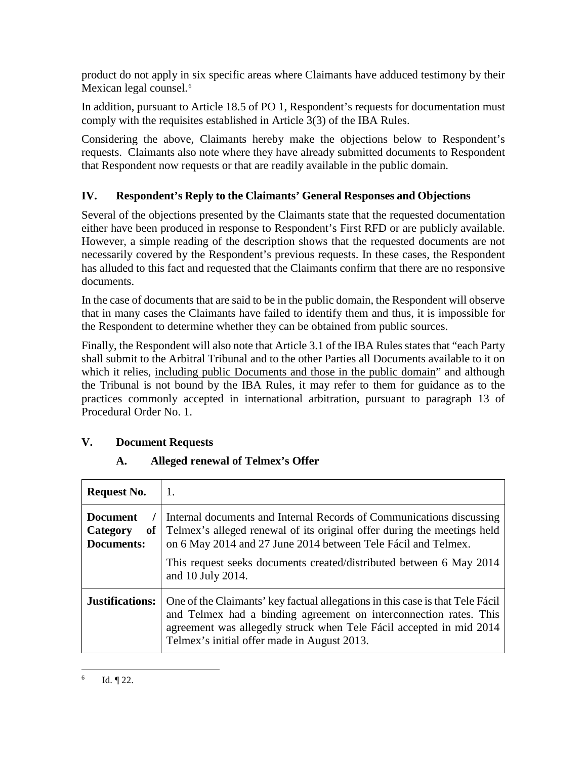product do not apply in six specific areas where Claimants have adduced testimony by their Mexican legal counsel.<sup>[6](#page-6-0)</sup>

In addition, pursuant to Article 18.5 of PO 1, Respondent's requests for documentation must comply with the requisites established in Article 3(3) of the IBA Rules.

Considering the above, Claimants hereby make the objections below to Respondent's requests. Claimants also note where they have already submitted documents to Respondent that Respondent now requests or that are readily available in the public domain.

# **IV. Respondent's Reply to the Claimants' General Responses and Objections**

Several of the objections presented by the Claimants state that the requested documentation either have been produced in response to Respondent's First RFD or are publicly available. However, a simple reading of the description shows that the requested documents are not necessarily covered by the Respondent's previous requests. In these cases, the Respondent has alluded to this fact and requested that the Claimants confirm that there are no responsive documents.

In the case of documents that are said to be in the public domain, the Respondent will observe that in many cases the Claimants have failed to identify them and thus, it is impossible for the Respondent to determine whether they can be obtained from public sources.

Finally, the Respondent will also note that Article 3.1 of the IBA Rules states that "each Party shall submit to the Arbitral Tribunal and to the other Parties all Documents available to it on which it relies, including public Documents and those in the public domain" and although the Tribunal is not bound by the IBA Rules, it may refer to them for guidance as to the practices commonly accepted in international arbitration, pursuant to paragraph 13 of Procedural Order No. 1.

# **V. Document Requests**

# **A. Alleged renewal of Telmex's Offer**

<span id="page-6-0"></span>

| <b>Request No.</b>                              | 1.                                                                                                                                                                                                                                                                                                           |
|-------------------------------------------------|--------------------------------------------------------------------------------------------------------------------------------------------------------------------------------------------------------------------------------------------------------------------------------------------------------------|
| <b>Document</b><br>Category<br>of<br>Documents: | Internal documents and Internal Records of Communications discussing<br>Telmex's alleged renewal of its original offer during the meetings held<br>on 6 May 2014 and 27 June 2014 between Tele Fácil and Telmex.<br>This request seeks documents created/distributed between 6 May 2014<br>and 10 July 2014. |
| <b>Justifications:</b>                          | One of the Claimants' key factual allegations in this case is that Tele Fácil<br>and Telmex had a binding agreement on interconnection rates. This<br>agreement was allegedly struck when Tele Fácil accepted in mid 2014<br>Telmex's initial offer made in August 2013.                                     |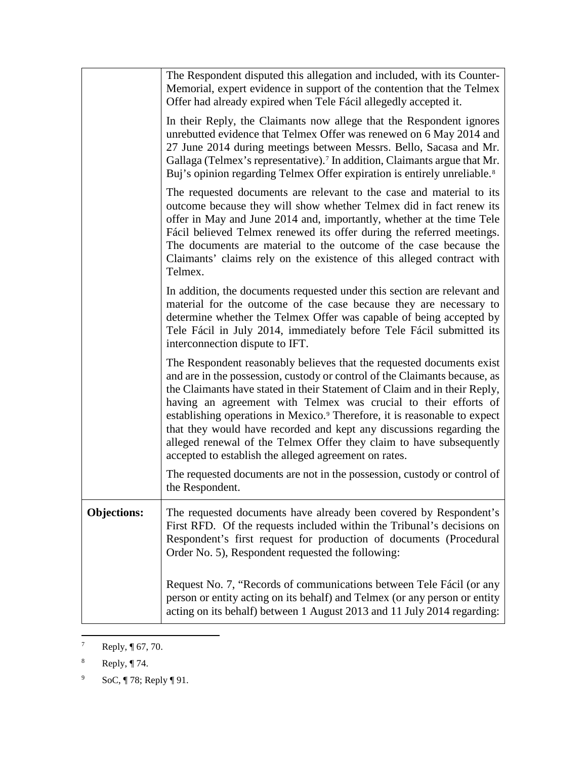|                    | The Respondent disputed this allegation and included, with its Counter-<br>Memorial, expert evidence in support of the contention that the Telmex<br>Offer had already expired when Tele Fácil allegedly accepted it.                                                                                                                                                                                                                                                                                                                                                                                |
|--------------------|------------------------------------------------------------------------------------------------------------------------------------------------------------------------------------------------------------------------------------------------------------------------------------------------------------------------------------------------------------------------------------------------------------------------------------------------------------------------------------------------------------------------------------------------------------------------------------------------------|
|                    | In their Reply, the Claimants now allege that the Respondent ignores<br>unrebutted evidence that Telmex Offer was renewed on 6 May 2014 and<br>27 June 2014 during meetings between Messrs. Bello, Sacasa and Mr.<br>Gallaga (Telmex's representative). <sup>7</sup> In addition, Claimants argue that Mr.<br>Buj's opinion regarding Telmex Offer expiration is entirely unreliable. <sup>8</sup>                                                                                                                                                                                                   |
|                    | The requested documents are relevant to the case and material to its<br>outcome because they will show whether Telmex did in fact renew its<br>offer in May and June 2014 and, importantly, whether at the time Tele<br>Fácil believed Telmex renewed its offer during the referred meetings.<br>The documents are material to the outcome of the case because the<br>Claimants' claims rely on the existence of this alleged contract with<br>Telmex.                                                                                                                                               |
|                    | In addition, the documents requested under this section are relevant and<br>material for the outcome of the case because they are necessary to<br>determine whether the Telmex Offer was capable of being accepted by<br>Tele Fácil in July 2014, immediately before Tele Fácil submitted its<br>interconnection dispute to IFT.                                                                                                                                                                                                                                                                     |
|                    | The Respondent reasonably believes that the requested documents exist<br>and are in the possession, custody or control of the Claimants because, as<br>the Claimants have stated in their Statement of Claim and in their Reply,<br>having an agreement with Telmex was crucial to their efforts of<br>establishing operations in Mexico. <sup>9</sup> Therefore, it is reasonable to expect<br>that they would have recorded and kept any discussions regarding the<br>alleged renewal of the Telmex Offer they claim to have subsequently<br>accepted to establish the alleged agreement on rates. |
|                    | The requested documents are not in the possession, custody or control of<br>the Respondent.                                                                                                                                                                                                                                                                                                                                                                                                                                                                                                          |
| <b>Objections:</b> | The requested documents have already been covered by Respondent's<br>First RFD. Of the requests included within the Tribunal's decisions on<br>Respondent's first request for production of documents (Procedural<br>Order No. 5), Respondent requested the following:                                                                                                                                                                                                                                                                                                                               |
|                    | Request No. 7, "Records of communications between Tele Fácil (or any<br>person or entity acting on its behalf) and Telmex (or any person or entity<br>acting on its behalf) between 1 August 2013 and 11 July 2014 regarding:                                                                                                                                                                                                                                                                                                                                                                        |

<span id="page-7-0"></span><sup>&</sup>lt;sup>7</sup> Reply,  $\P$  67, 70.

<span id="page-7-1"></span><sup>8</sup> Reply, ¶ 74.

<span id="page-7-2"></span><sup>&</sup>lt;sup>9</sup> SoC, ¶ 78; Reply ¶ 91.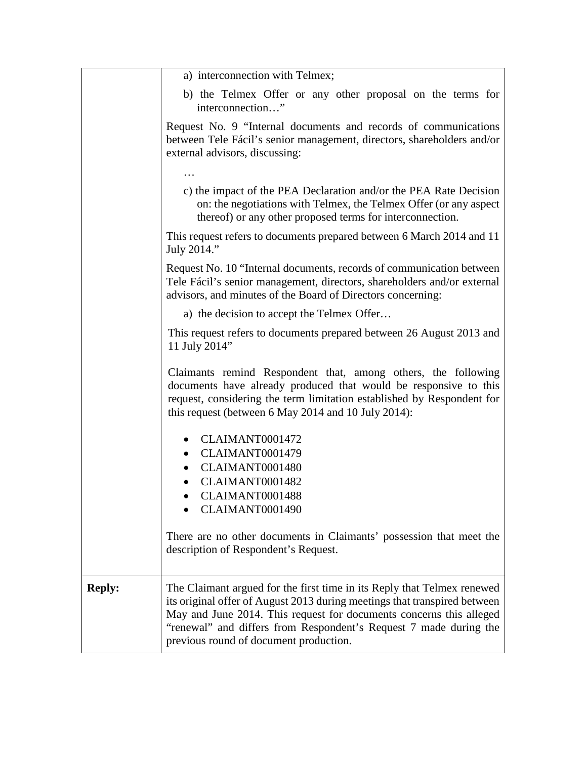|               | a) interconnection with Telmex;                                                                                                                                                                                                                                                                                                            |
|---------------|--------------------------------------------------------------------------------------------------------------------------------------------------------------------------------------------------------------------------------------------------------------------------------------------------------------------------------------------|
|               | b) the Telmex Offer or any other proposal on the terms for<br>interconnection"                                                                                                                                                                                                                                                             |
|               | Request No. 9 "Internal documents and records of communications<br>between Tele Fácil's senior management, directors, shareholders and/or<br>external advisors, discussing:                                                                                                                                                                |
|               |                                                                                                                                                                                                                                                                                                                                            |
|               | c) the impact of the PEA Declaration and/or the PEA Rate Decision<br>on: the negotiations with Telmex, the Telmex Offer (or any aspect<br>thereof) or any other proposed terms for interconnection.                                                                                                                                        |
|               | This request refers to documents prepared between 6 March 2014 and 11<br>July 2014."                                                                                                                                                                                                                                                       |
|               | Request No. 10 "Internal documents, records of communication between<br>Tele Fácil's senior management, directors, shareholders and/or external<br>advisors, and minutes of the Board of Directors concerning:                                                                                                                             |
|               | a) the decision to accept the Telmex Offer                                                                                                                                                                                                                                                                                                 |
|               | This request refers to documents prepared between 26 August 2013 and<br>11 July 2014"                                                                                                                                                                                                                                                      |
|               | Claimants remind Respondent that, among others, the following<br>documents have already produced that would be responsive to this<br>request, considering the term limitation established by Respondent for<br>this request (between 6 May 2014 and 10 July 2014):                                                                         |
|               | CLAIMANT0001472<br>CLAIMANT0001479                                                                                                                                                                                                                                                                                                         |
|               | CLAIMANT0001480                                                                                                                                                                                                                                                                                                                            |
|               | CLAIMANT0001482                                                                                                                                                                                                                                                                                                                            |
|               | CLAIMANT0001488<br>CLAIMANT0001490                                                                                                                                                                                                                                                                                                         |
|               |                                                                                                                                                                                                                                                                                                                                            |
|               | There are no other documents in Claimants' possession that meet the<br>description of Respondent's Request.                                                                                                                                                                                                                                |
| <b>Reply:</b> | The Claimant argued for the first time in its Reply that Telmex renewed<br>its original offer of August 2013 during meetings that transpired between<br>May and June 2014. This request for documents concerns this alleged<br>"renewal" and differs from Respondent's Request 7 made during the<br>previous round of document production. |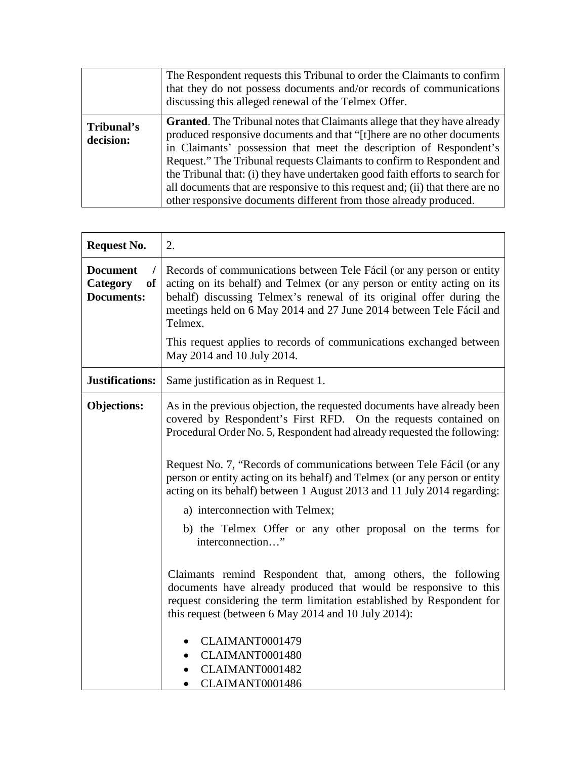|                         | The Respondent requests this Tribunal to order the Claimants to confirm<br>that they do not possess documents and/or records of communications<br>discussing this alleged renewal of the Telmex Offer.                                                                                                                                                                                                                                                                                                                                           |
|-------------------------|--------------------------------------------------------------------------------------------------------------------------------------------------------------------------------------------------------------------------------------------------------------------------------------------------------------------------------------------------------------------------------------------------------------------------------------------------------------------------------------------------------------------------------------------------|
| Tribunal's<br>decision: | <b>Granted.</b> The Tribunal notes that Claimants allege that they have already<br>produced responsive documents and that "[t] here are no other documents<br>in Claimants' possession that meet the description of Respondent's<br>Request." The Tribunal requests Claimants to confirm to Respondent and<br>the Tribunal that: (i) they have undertaken good faith efforts to search for<br>all documents that are responsive to this request and; (ii) that there are no<br>other responsive documents different from those already produced. |

| <b>Request No.</b>                                     | 2.                                                                                                                                                                                                                                                                                                         |
|--------------------------------------------------------|------------------------------------------------------------------------------------------------------------------------------------------------------------------------------------------------------------------------------------------------------------------------------------------------------------|
| <b>Document</b><br>Category<br>of<br><b>Documents:</b> | Records of communications between Tele Fácil (or any person or entity<br>acting on its behalf) and Telmex (or any person or entity acting on its<br>behalf) discussing Telmex's renewal of its original offer during the<br>meetings held on 6 May 2014 and 27 June 2014 between Tele Fácil and<br>Telmex. |
|                                                        | This request applies to records of communications exchanged between<br>May 2014 and 10 July 2014.                                                                                                                                                                                                          |
| <b>Justifications:</b>                                 | Same justification as in Request 1.                                                                                                                                                                                                                                                                        |
| <b>Objections:</b>                                     | As in the previous objection, the requested documents have already been<br>covered by Respondent's First RFD. On the requests contained on<br>Procedural Order No. 5, Respondent had already requested the following:<br>Request No. 7, "Records of communications between Tele Fácil (or any              |
|                                                        | person or entity acting on its behalf) and Telmex (or any person or entity<br>acting on its behalf) between 1 August 2013 and 11 July 2014 regarding:                                                                                                                                                      |
|                                                        | a) interconnection with Telmex;                                                                                                                                                                                                                                                                            |
|                                                        | b) the Telmex Offer or any other proposal on the terms for<br>interconnection"                                                                                                                                                                                                                             |
|                                                        | Claimants remind Respondent that, among others, the following<br>documents have already produced that would be responsive to this<br>request considering the term limitation established by Respondent for<br>this request (between 6 May 2014 and 10 July 2014):                                          |
|                                                        | CLAIMANT0001479                                                                                                                                                                                                                                                                                            |
|                                                        | CLAIMANT0001480                                                                                                                                                                                                                                                                                            |
|                                                        | CLAIMANT0001482                                                                                                                                                                                                                                                                                            |
|                                                        | CLAIMANT0001486<br>$\bullet$                                                                                                                                                                                                                                                                               |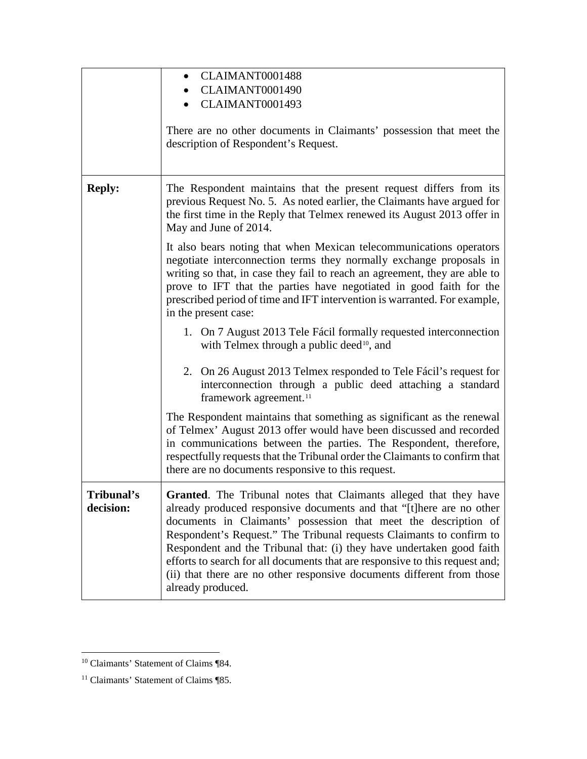|                         | CLAIMANT0001488<br>$\bullet$<br>CLAIMANT0001490<br>CLAIMANT0001493<br>There are no other documents in Claimants' possession that meet the<br>description of Respondent's Request.                                                                                                                                                                                                                                                                                                                                                            |
|-------------------------|----------------------------------------------------------------------------------------------------------------------------------------------------------------------------------------------------------------------------------------------------------------------------------------------------------------------------------------------------------------------------------------------------------------------------------------------------------------------------------------------------------------------------------------------|
| <b>Reply:</b>           | The Respondent maintains that the present request differs from its<br>previous Request No. 5. As noted earlier, the Claimants have argued for<br>the first time in the Reply that Telmex renewed its August 2013 offer in<br>May and June of 2014.<br>It also bears noting that when Mexican telecommunications operators                                                                                                                                                                                                                    |
|                         | negotiate interconnection terms they normally exchange proposals in<br>writing so that, in case they fail to reach an agreement, they are able to<br>prove to IFT that the parties have negotiated in good faith for the<br>prescribed period of time and IFT intervention is warranted. For example,<br>in the present case:                                                                                                                                                                                                                |
|                         | 1. On 7 August 2013 Tele Fácil formally requested interconnection<br>with Telmex through a public deed <sup>10</sup> , and                                                                                                                                                                                                                                                                                                                                                                                                                   |
|                         | 2. On 26 August 2013 Telmex responded to Tele Fácil's request for<br>interconnection through a public deed attaching a standard<br>framework agreement. <sup>11</sup>                                                                                                                                                                                                                                                                                                                                                                        |
|                         | The Respondent maintains that something as significant as the renewal<br>of Telmex' August 2013 offer would have been discussed and recorded<br>in communications between the parties. The Respondent, therefore,<br>respectfully requests that the Tribunal order the Claimants to confirm that<br>there are no documents responsive to this request.                                                                                                                                                                                       |
| Tribunal's<br>decision: | Granted. The Tribunal notes that Claimants alleged that they have<br>already produced responsive documents and that "[t]here are no other<br>documents in Claimants' possession that meet the description of<br>Respondent's Request." The Tribunal requests Claimants to confirm to<br>Respondent and the Tribunal that: (i) they have undertaken good faith<br>efforts to search for all documents that are responsive to this request and;<br>(ii) that there are no other responsive documents different from those<br>already produced. |

<span id="page-10-0"></span><sup>&</sup>lt;sup>10</sup> Claimants' Statement of Claims ¶84.

<span id="page-10-1"></span><sup>&</sup>lt;sup>11</sup> Claimants' Statement of Claims ¶85.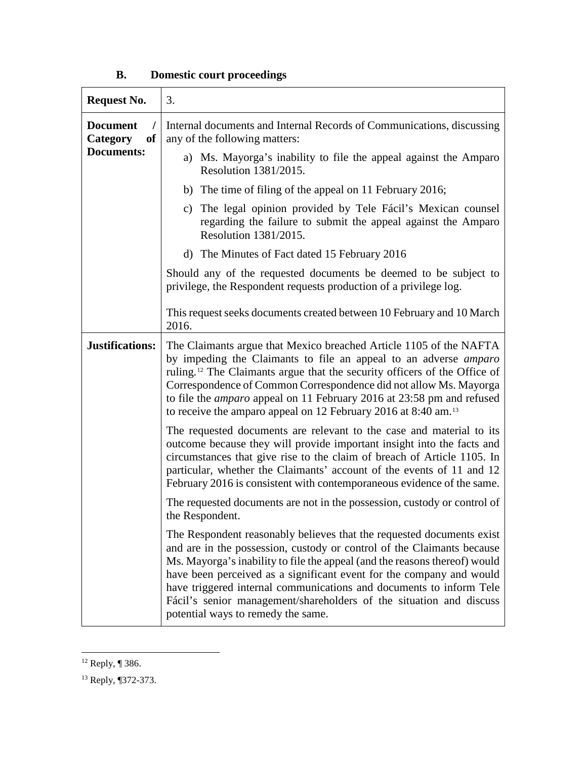| <b>Request No.</b>                           | 3.                                                                                                                                                                                                                                                                                                                                                                                                                                                                                        |
|----------------------------------------------|-------------------------------------------------------------------------------------------------------------------------------------------------------------------------------------------------------------------------------------------------------------------------------------------------------------------------------------------------------------------------------------------------------------------------------------------------------------------------------------------|
| <b>Document</b><br><sub>of</sub><br>Category | Internal documents and Internal Records of Communications, discussing<br>any of the following matters:                                                                                                                                                                                                                                                                                                                                                                                    |
| <b>Documents:</b>                            | a) Ms. Mayorga's inability to file the appeal against the Amparo<br>Resolution 1381/2015.                                                                                                                                                                                                                                                                                                                                                                                                 |
|                                              | b) The time of filing of the appeal on 11 February 2016;                                                                                                                                                                                                                                                                                                                                                                                                                                  |
|                                              | The legal opinion provided by Tele Fácil's Mexican counsel<br>C)<br>regarding the failure to submit the appeal against the Amparo<br>Resolution 1381/2015.                                                                                                                                                                                                                                                                                                                                |
|                                              | d) The Minutes of Fact dated 15 February 2016                                                                                                                                                                                                                                                                                                                                                                                                                                             |
|                                              | Should any of the requested documents be deemed to be subject to<br>privilege, the Respondent requests production of a privilege log.                                                                                                                                                                                                                                                                                                                                                     |
|                                              | This request seeks documents created between 10 February and 10 March<br>2016.                                                                                                                                                                                                                                                                                                                                                                                                            |
| Justifications:                              | The Claimants argue that Mexico breached Article 1105 of the NAFTA<br>by impeding the Claimants to file an appeal to an adverse <i>amparo</i><br>ruling. <sup>12</sup> The Claimants argue that the security officers of the Office of<br>Correspondence of Common Correspondence did not allow Ms. Mayorga<br>to file the <i>amparo</i> appeal on 11 February 2016 at 23:58 pm and refused<br>to receive the amparo appeal on 12 February 2016 at 8:40 am. <sup>13</sup>                 |
|                                              | The requested documents are relevant to the case and material to its<br>outcome because they will provide important insight into the facts and<br>circumstances that give rise to the claim of breach of Article 1105. In<br>particular, whether the Claimants' account of the events of 11 and 12<br>February 2016 is consistent with contemporaneous evidence of the same.                                                                                                              |
|                                              | The requested documents are not in the possession, custody or control of<br>the Respondent.                                                                                                                                                                                                                                                                                                                                                                                               |
|                                              | The Respondent reasonably believes that the requested documents exist<br>and are in the possession, custody or control of the Claimants because<br>Ms. Mayorga's inability to file the appeal (and the reasons thereof) would<br>have been perceived as a significant event for the company and would<br>have triggered internal communications and documents to inform Tele<br>Fácil's senior management/shareholders of the situation and discuss<br>potential ways to remedy the same. |

# **B. Domestic court proceedings**

<span id="page-11-0"></span> $12$  Reply, ¶ 386.

<span id="page-11-1"></span><sup>13</sup> Reply, ¶372-373.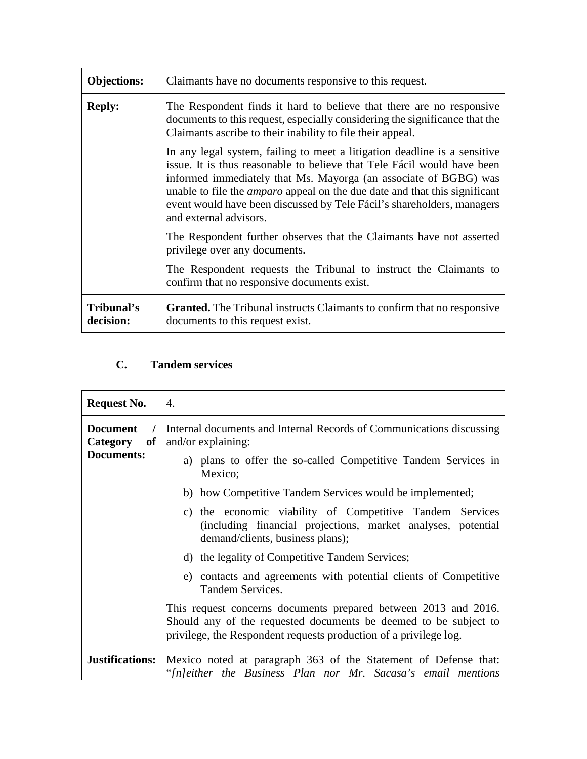| <b>Objections:</b>      | Claimants have no documents responsive to this request.                                                                                                                                                                                                                                                                                                                                                           |
|-------------------------|-------------------------------------------------------------------------------------------------------------------------------------------------------------------------------------------------------------------------------------------------------------------------------------------------------------------------------------------------------------------------------------------------------------------|
| <b>Reply:</b>           | The Respondent finds it hard to believe that there are no responsive<br>documents to this request, especially considering the significance that the<br>Claimants ascribe to their inability to file their appeal.                                                                                                                                                                                                 |
|                         | In any legal system, failing to meet a litigation deadline is a sensitive<br>issue. It is thus reasonable to believe that Tele Fácil would have been<br>informed immediately that Ms. Mayorga (an associate of BGBG) was<br>unable to file the <i>amparo</i> appeal on the due date and that this significant<br>event would have been discussed by Tele Fácil's shareholders, managers<br>and external advisors. |
|                         | The Respondent further observes that the Claimants have not asserted<br>privilege over any documents.                                                                                                                                                                                                                                                                                                             |
|                         | The Respondent requests the Tribunal to instruct the Claimants to<br>confirm that no responsive documents exist.                                                                                                                                                                                                                                                                                                  |
| Tribunal's<br>decision: | <b>Granted.</b> The Tribunal instructs Claimants to confirm that no responsive<br>documents to this request exist.                                                                                                                                                                                                                                                                                                |

# **C. Tandem services**

| <b>Request No.</b>                                     | 4.                                                                                                                                                                                                       |
|--------------------------------------------------------|----------------------------------------------------------------------------------------------------------------------------------------------------------------------------------------------------------|
| <b>Document</b><br>of<br><b>Category</b><br>Documents: | Internal documents and Internal Records of Communications discussing<br>and/or explaining:                                                                                                               |
|                                                        | a) plans to offer the so-called Competitive Tandem Services in<br>Mexico;                                                                                                                                |
|                                                        | b) how Competitive Tandem Services would be implemented;                                                                                                                                                 |
|                                                        | c) the economic viability of Competitive Tandem Services<br>(including financial projections, market analyses, potential<br>demand/clients, business plans);                                             |
|                                                        | d) the legality of Competitive Tandem Services;                                                                                                                                                          |
|                                                        | e) contacts and agreements with potential clients of Competitive<br>Tandem Services.                                                                                                                     |
|                                                        | This request concerns documents prepared between 2013 and 2016.<br>Should any of the requested documents be deemed to be subject to<br>privilege, the Respondent requests production of a privilege log. |
| <b>Justifications:</b>                                 | Mexico noted at paragraph 363 of the Statement of Defense that:<br>"[n]either the Business Plan nor Mr. Sacasa's email mentions                                                                          |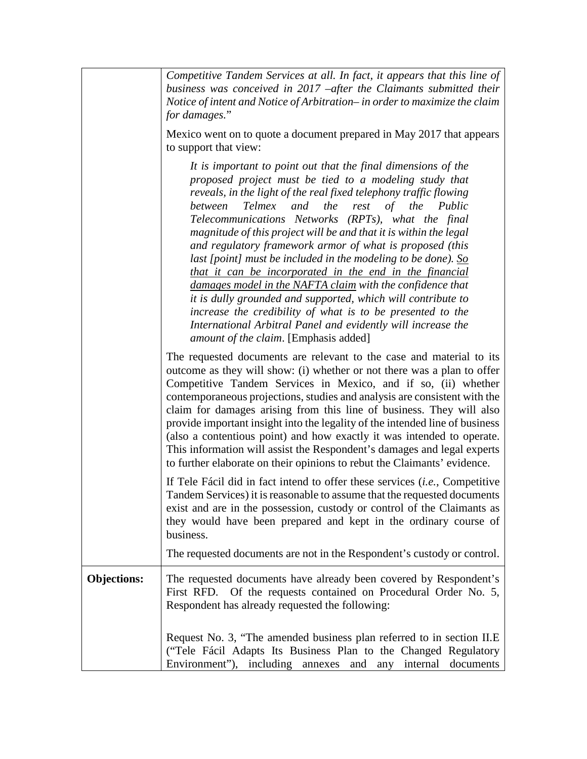|                    | Competitive Tandem Services at all. In fact, it appears that this line of<br>business was conceived in 2017 – after the Claimants submitted their<br>Notice of intent and Notice of Arbitration- in order to maximize the claim<br>for damages."                                                                                                                                                                                                                                                                                                                                                                                                                                                                                                                                                                                                                                                        |
|--------------------|---------------------------------------------------------------------------------------------------------------------------------------------------------------------------------------------------------------------------------------------------------------------------------------------------------------------------------------------------------------------------------------------------------------------------------------------------------------------------------------------------------------------------------------------------------------------------------------------------------------------------------------------------------------------------------------------------------------------------------------------------------------------------------------------------------------------------------------------------------------------------------------------------------|
|                    | Mexico went on to quote a document prepared in May 2017 that appears<br>to support that view:                                                                                                                                                                                                                                                                                                                                                                                                                                                                                                                                                                                                                                                                                                                                                                                                           |
|                    | It is important to point out that the final dimensions of the<br>proposed project must be tied to a modeling study that<br>reveals, in the light of the real fixed telephony traffic flowing<br>the<br>Telmex<br>and<br>rest<br>of<br>between<br>the Public<br>Telecommunications Networks (RPTs), what the final<br>magnitude of this project will be and that it is within the legal<br>and regulatory framework armor of what is proposed (this<br>last [point] must be included in the modeling to be done). $\underline{So}$<br>that it can be incorporated in the end in the financial<br>damages model in the NAFTA claim with the confidence that<br>it is dully grounded and supported, which will contribute to<br>increase the credibility of what is to be presented to the<br>International Arbitral Panel and evidently will increase the<br><i>amount of the claim.</i> [Emphasis added] |
|                    | The requested documents are relevant to the case and material to its<br>outcome as they will show: (i) whether or not there was a plan to offer<br>Competitive Tandem Services in Mexico, and if so, (ii) whether<br>contemporaneous projections, studies and analysis are consistent with the<br>claim for damages arising from this line of business. They will also<br>provide important insight into the legality of the intended line of business<br>(also a contentious point) and how exactly it was intended to operate.<br>This information will assist the Respondent's damages and legal experts<br>to further elaborate on their opinions to rebut the Claimants' evidence.                                                                                                                                                                                                                 |
|                    | If Tele Fácil did in fact intend to offer these services <i>(i.e., Competitive</i> )<br>Tandem Services) it is reasonable to assume that the requested documents<br>exist and are in the possession, custody or control of the Claimants as<br>they would have been prepared and kept in the ordinary course of<br>business.                                                                                                                                                                                                                                                                                                                                                                                                                                                                                                                                                                            |
|                    | The requested documents are not in the Respondent's custody or control.                                                                                                                                                                                                                                                                                                                                                                                                                                                                                                                                                                                                                                                                                                                                                                                                                                 |
| <b>Objections:</b> | The requested documents have already been covered by Respondent's<br>First RFD. Of the requests contained on Procedural Order No. 5,<br>Respondent has already requested the following:                                                                                                                                                                                                                                                                                                                                                                                                                                                                                                                                                                                                                                                                                                                 |
|                    | Request No. 3, "The amended business plan referred to in section II.E<br>("Tele Fácil Adapts Its Business Plan to the Changed Regulatory<br>Environment"), including annexes and any internal documents                                                                                                                                                                                                                                                                                                                                                                                                                                                                                                                                                                                                                                                                                                 |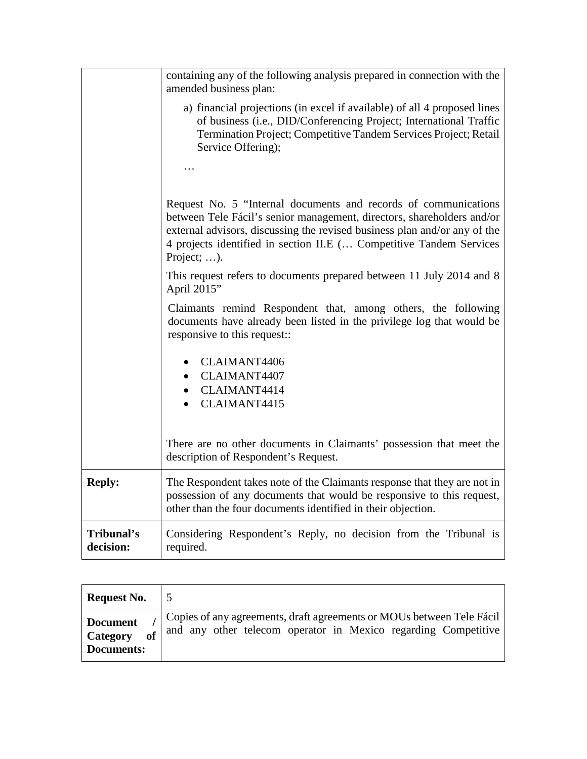|                         | containing any of the following analysis prepared in connection with the<br>amended business plan:                                                                                                                                                                                                           |
|-------------------------|--------------------------------------------------------------------------------------------------------------------------------------------------------------------------------------------------------------------------------------------------------------------------------------------------------------|
|                         | a) financial projections (in excel if available) of all 4 proposed lines<br>of business (i.e., DID/Conferencing Project; International Traffic<br>Termination Project; Competitive Tandem Services Project; Retail<br>Service Offering);                                                                     |
|                         |                                                                                                                                                                                                                                                                                                              |
|                         | Request No. 5 "Internal documents and records of communications<br>between Tele Fácil's senior management, directors, shareholders and/or<br>external advisors, discussing the revised business plan and/or any of the<br>4 projects identified in section II.E ( Competitive Tandem Services<br>Project; ). |
|                         | This request refers to documents prepared between 11 July 2014 and 8<br>April 2015"                                                                                                                                                                                                                          |
|                         | Claimants remind Respondent that, among others, the following<br>documents have already been listed in the privilege log that would be<br>responsive to this request::                                                                                                                                       |
|                         | <b>CLAIMANT4406</b><br>• CLAIMANT4407<br>CLAIMANT4414<br>CLAIMANT4415                                                                                                                                                                                                                                        |
|                         | There are no other documents in Claimants' possession that meet the<br>description of Respondent's Request.                                                                                                                                                                                                  |
| <b>Reply:</b>           | The Respondent takes note of the Claimants response that they are not in<br>possession of any documents that would be responsive to this request,<br>other than the four documents identified in their objection.                                                                                            |
| Tribunal's<br>decision: | Considering Respondent's Reply, no decision from the Tribunal is<br>required.                                                                                                                                                                                                                                |

| <b>Request No.</b>                                     |                                                                                                                                         |
|--------------------------------------------------------|-----------------------------------------------------------------------------------------------------------------------------------------|
| <b>Document</b><br><b>Category</b><br>of<br>Documents: | Copies of any agreements, draft agreements or MOUs between Tele Fácil<br>and any other telecom operator in Mexico regarding Competitive |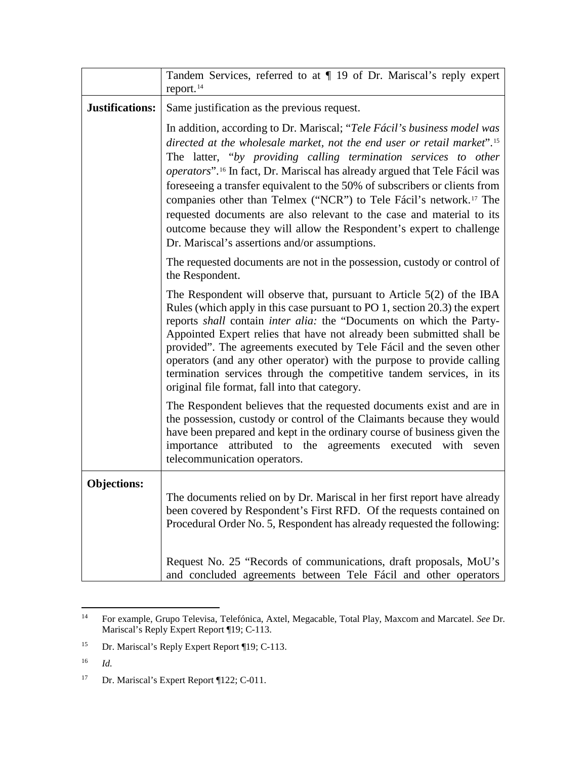|                    | Tandem Services, referred to at ¶ 19 of Dr. Mariscal's reply expert<br>report. <sup>14</sup>                                                                                                                                                                                                                                                                                                                                                                                                                                                                                                                                                                                                   |
|--------------------|------------------------------------------------------------------------------------------------------------------------------------------------------------------------------------------------------------------------------------------------------------------------------------------------------------------------------------------------------------------------------------------------------------------------------------------------------------------------------------------------------------------------------------------------------------------------------------------------------------------------------------------------------------------------------------------------|
| Justifications:    | Same justification as the previous request.                                                                                                                                                                                                                                                                                                                                                                                                                                                                                                                                                                                                                                                    |
|                    | In addition, according to Dr. Mariscal; "Tele Fácil's business model was<br>directed at the wholesale market, not the end user or retail market". <sup>15</sup><br>The latter, "by providing calling termination services to other<br>operators". <sup>16</sup> In fact, Dr. Mariscal has already argued that Tele Fácil was<br>foreseeing a transfer equivalent to the 50% of subscribers or clients from<br>companies other than Telmex ("NCR") to Tele Fácil's network. <sup>17</sup> The<br>requested documents are also relevant to the case and material to its<br>outcome because they will allow the Respondent's expert to challenge<br>Dr. Mariscal's assertions and/or assumptions. |
|                    | The requested documents are not in the possession, custody or control of<br>the Respondent.                                                                                                                                                                                                                                                                                                                                                                                                                                                                                                                                                                                                    |
|                    | The Respondent will observe that, pursuant to Article $5(2)$ of the IBA<br>Rules (which apply in this case pursuant to PO 1, section 20.3) the expert<br>reports shall contain inter alia: the "Documents on which the Party-<br>Appointed Expert relies that have not already been submitted shall be<br>provided". The agreements executed by Tele Fácil and the seven other<br>operators (and any other operator) with the purpose to provide calling<br>termination services through the competitive tandem services, in its<br>original file format, fall into that category.                                                                                                             |
|                    | The Respondent believes that the requested documents exist and are in<br>the possession, custody or control of the Claimants because they would<br>have been prepared and kept in the ordinary course of business given the<br>importance attributed to the agreements executed with seven<br>telecommunication operators.                                                                                                                                                                                                                                                                                                                                                                     |
| <b>Objections:</b> | The documents relied on by Dr. Mariscal in her first report have already<br>been covered by Respondent's First RFD. Of the requests contained on<br>Procedural Order No. 5, Respondent has already requested the following:                                                                                                                                                                                                                                                                                                                                                                                                                                                                    |
|                    | Request No. 25 "Records of communications, draft proposals, MoU's<br>and concluded agreements between Tele Fácil and other operators                                                                                                                                                                                                                                                                                                                                                                                                                                                                                                                                                           |

<span id="page-15-0"></span> <sup>14</sup> For example, Grupo Televisa, Telefónica, Axtel, Megacable, Total Play, Maxcom and Marcatel. *See* Dr. Mariscal's Reply Expert Report ¶19; C-113.

<span id="page-15-1"></span><sup>&</sup>lt;sup>15</sup> Dr. Mariscal's Reply Expert Report ¶19; C-113.

<span id="page-15-2"></span><sup>16</sup> *Id.*

<span id="page-15-3"></span><sup>&</sup>lt;sup>17</sup> Dr. Mariscal's Expert Report ¶122; C-011.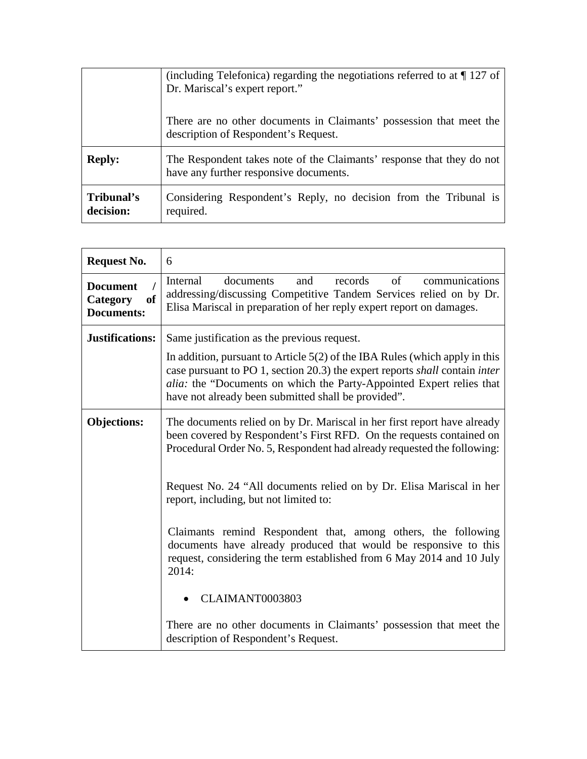|                         | (including Telefonica) regarding the negotiations referred to at $\P$ 127 of<br>Dr. Mariscal's expert report."  |
|-------------------------|-----------------------------------------------------------------------------------------------------------------|
|                         | There are no other documents in Claimants' possession that meet the<br>description of Respondent's Request.     |
| <b>Reply:</b>           | The Respondent takes note of the Claimants' response that they do not<br>have any further responsive documents. |
| Tribunal's<br>decision: | Considering Respondent's Reply, no decision from the Tribunal is<br>required.                                   |

| <b>Request No.</b>                                                | 6                                                                                                                                                                                                                                                                                           |
|-------------------------------------------------------------------|---------------------------------------------------------------------------------------------------------------------------------------------------------------------------------------------------------------------------------------------------------------------------------------------|
| <b>Document</b><br><sub>of</sub><br>Category<br><b>Documents:</b> | records<br>of<br>communications<br>Internal<br>documents<br>and<br>addressing/discussing Competitive Tandem Services relied on by Dr.<br>Elisa Mariscal in preparation of her reply expert report on damages.                                                                               |
| Justifications:                                                   | Same justification as the previous request.                                                                                                                                                                                                                                                 |
|                                                                   | In addition, pursuant to Article $5(2)$ of the IBA Rules (which apply in this<br>case pursuant to PO 1, section 20.3) the expert reports shall contain inter<br>alia: the "Documents on which the Party-Appointed Expert relies that<br>have not already been submitted shall be provided". |
| <b>Objections:</b>                                                | The documents relied on by Dr. Mariscal in her first report have already<br>been covered by Respondent's First RFD. On the requests contained on<br>Procedural Order No. 5, Respondent had already requested the following:                                                                 |
|                                                                   | Request No. 24 "All documents relied on by Dr. Elisa Mariscal in her<br>report, including, but not limited to:                                                                                                                                                                              |
|                                                                   | Claimants remind Respondent that, among others, the following<br>documents have already produced that would be responsive to this<br>request, considering the term established from 6 May 2014 and 10 July<br>2014:                                                                         |
|                                                                   | CLAIMANT0003803                                                                                                                                                                                                                                                                             |
|                                                                   | There are no other documents in Claimants' possession that meet the<br>description of Respondent's Request.                                                                                                                                                                                 |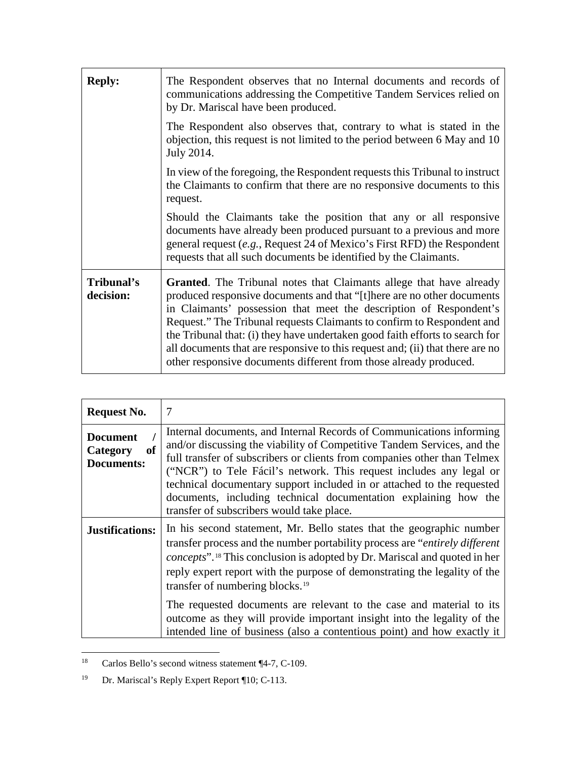| <b>Reply:</b>           | The Respondent observes that no Internal documents and records of<br>communications addressing the Competitive Tandem Services relied on<br>by Dr. Mariscal have been produced.                                                                                                                                                                                                                                                                                                                                                             |
|-------------------------|---------------------------------------------------------------------------------------------------------------------------------------------------------------------------------------------------------------------------------------------------------------------------------------------------------------------------------------------------------------------------------------------------------------------------------------------------------------------------------------------------------------------------------------------|
|                         | The Respondent also observes that, contrary to what is stated in the<br>objection, this request is not limited to the period between 6 May and 10<br>July 2014.                                                                                                                                                                                                                                                                                                                                                                             |
|                         | In view of the foregoing, the Respondent requests this Tribunal to instruct<br>the Claimants to confirm that there are no responsive documents to this<br>request.                                                                                                                                                                                                                                                                                                                                                                          |
|                         | Should the Claimants take the position that any or all responsive<br>documents have already been produced pursuant to a previous and more<br>general request $(e.g.,$ Request 24 of Mexico's First RFD) the Respondent<br>requests that all such documents be identified by the Claimants.                                                                                                                                                                                                                                                  |
| Tribunal's<br>decision: | <b>Granted.</b> The Tribunal notes that Claimants allege that have already<br>produced responsive documents and that "[t] here are no other documents<br>in Claimants' possession that meet the description of Respondent's<br>Request." The Tribunal requests Claimants to confirm to Respondent and<br>the Tribunal that: (i) they have undertaken good faith efforts to search for<br>all documents that are responsive to this request and; (ii) that there are no<br>other responsive documents different from those already produced. |

| <b>Request No.</b>                                     | $\overline{7}$                                                                                                                                                                                                                                                                                                                                                                                                                                                                                                                      |
|--------------------------------------------------------|-------------------------------------------------------------------------------------------------------------------------------------------------------------------------------------------------------------------------------------------------------------------------------------------------------------------------------------------------------------------------------------------------------------------------------------------------------------------------------------------------------------------------------------|
| <b>Document</b><br>Category<br>of<br><b>Documents:</b> | Internal documents, and Internal Records of Communications informing<br>and/or discussing the viability of Competitive Tandem Services, and the<br>full transfer of subscribers or clients from companies other than Telmex<br>("NCR") to Tele Fácil's network. This request includes any legal or<br>technical documentary support included in or attached to the requested<br>documents, including technical documentation explaining how the<br>transfer of subscribers would take place.                                        |
| <b>Justifications:</b>                                 | In his second statement, Mr. Bello states that the geographic number<br>transfer process and the number portability process are "entirely different<br><i>concepts</i> ". <sup>18</sup> This conclusion is adopted by Dr. Mariscal and quoted in her<br>reply expert report with the purpose of demonstrating the legality of the<br>transfer of numbering blocks. <sup>19</sup><br>The requested documents are relevant to the case and material to its<br>outcome as they will provide important insight into the legality of the |
|                                                        | intended line of business (also a contentious point) and how exactly it                                                                                                                                                                                                                                                                                                                                                                                                                                                             |

<span id="page-17-0"></span> <sup>18</sup> Carlos Bello's second witness statement ¶4-7, C-109.

<span id="page-17-1"></span><sup>19</sup> Dr. Mariscal's Reply Expert Report ¶10; C-113.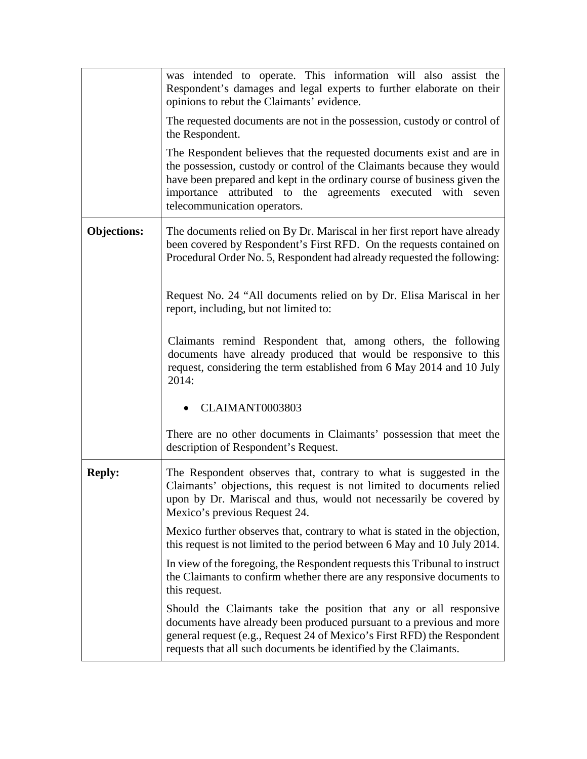|                    | was intended to operate. This information will also assist the<br>Respondent's damages and legal experts to further elaborate on their<br>opinions to rebut the Claimants' evidence.                                                                                                                                       |
|--------------------|----------------------------------------------------------------------------------------------------------------------------------------------------------------------------------------------------------------------------------------------------------------------------------------------------------------------------|
|                    | The requested documents are not in the possession, custody or control of<br>the Respondent.                                                                                                                                                                                                                                |
|                    | The Respondent believes that the requested documents exist and are in<br>the possession, custody or control of the Claimants because they would<br>have been prepared and kept in the ordinary course of business given the<br>importance attributed to the agreements executed with seven<br>telecommunication operators. |
| <b>Objections:</b> | The documents relied on By Dr. Mariscal in her first report have already<br>been covered by Respondent's First RFD. On the requests contained on<br>Procedural Order No. 5, Respondent had already requested the following:                                                                                                |
|                    | Request No. 24 "All documents relied on by Dr. Elisa Mariscal in her<br>report, including, but not limited to:                                                                                                                                                                                                             |
|                    | Claimants remind Respondent that, among others, the following<br>documents have already produced that would be responsive to this<br>request, considering the term established from 6 May 2014 and 10 July<br>2014:                                                                                                        |
|                    | CLAIMANT0003803                                                                                                                                                                                                                                                                                                            |
|                    | There are no other documents in Claimants' possession that meet the<br>description of Respondent's Request.                                                                                                                                                                                                                |
| <b>Reply:</b>      | The Respondent observes that, contrary to what is suggested in the<br>Claimants' objections, this request is not limited to documents relied<br>upon by Dr. Mariscal and thus, would not necessarily be covered by<br>Mexico's previous Request 24.                                                                        |
|                    | Mexico further observes that, contrary to what is stated in the objection,<br>this request is not limited to the period between 6 May and 10 July 2014.                                                                                                                                                                    |
|                    | In view of the foregoing, the Respondent requests this Tribunal to instruct<br>the Claimants to confirm whether there are any responsive documents to<br>this request.                                                                                                                                                     |
|                    | Should the Claimants take the position that any or all responsive<br>documents have already been produced pursuant to a previous and more<br>general request (e.g., Request 24 of Mexico's First RFD) the Respondent<br>requests that all such documents be identified by the Claimants.                                   |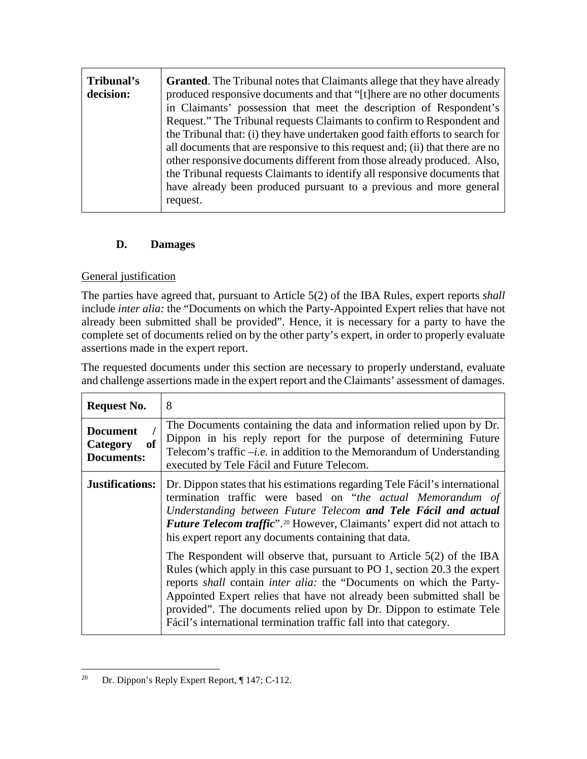| Tribunal's | <b>Granted.</b> The Tribunal notes that Claimants allege that they have already |
|------------|---------------------------------------------------------------------------------|
| decision:  | produced responsive documents and that "[t] here are no other documents         |
|            | in Claimants' possession that meet the description of Respondent's              |
|            | Request." The Tribunal requests Claimants to confirm to Respondent and          |
|            | the Tribunal that: (i) they have undertaken good faith efforts to search for    |
|            | all documents that are responsive to this request and; (ii) that there are no   |
|            | other responsive documents different from those already produced. Also,         |
|            | the Tribunal requests Claimants to identify all responsive documents that       |
|            | have already been produced pursuant to a previous and more general              |
|            | request.                                                                        |

## **D. Damages**

## General justification

The parties have agreed that, pursuant to Article 5(2) of the IBA Rules, expert reports *shall* include *inter alia:* the "Documents on which the Party-Appointed Expert relies that have not already been submitted shall be provided". Hence, it is necessary for a party to have the complete set of documents relied on by the other party's expert, in order to properly evaluate assertions made in the expert report.

The requested documents under this section are necessary to properly understand, evaluate and challenge assertions made in the expert report and the Claimants' assessment of damages.

| <b>Request No.</b>                                     | 8                                                                                                                                                                                                                                                                                                                                                                                                                                                          |
|--------------------------------------------------------|------------------------------------------------------------------------------------------------------------------------------------------------------------------------------------------------------------------------------------------------------------------------------------------------------------------------------------------------------------------------------------------------------------------------------------------------------------|
| <b>Document</b><br>Category<br>of<br><b>Documents:</b> | The Documents containing the data and information relied upon by Dr.<br>Dippon in his reply report for the purpose of determining Future<br>Telecom's traffic $-i.e.$ in addition to the Memorandum of Understanding<br>executed by Tele Fácil and Future Telecom.                                                                                                                                                                                         |
| <b>Justifications:</b>                                 | Dr. Dippon states that his estimations regarding Tele Fácil's international<br>termination traffic were based on "the actual Memorandum of<br>Understanding between Future Telecom and Tele Fácil and actual<br><i>Future Telecom traffic</i> ". <sup>20</sup> However, Claimants' expert did not attach to<br>his expert report any documents containing that data.                                                                                       |
|                                                        | The Respondent will observe that, pursuant to Article $5(2)$ of the IBA<br>Rules (which apply in this case pursuant to PO 1, section 20.3 the expert<br>reports shall contain <i>inter alia</i> : the "Documents on which the Party-<br>Appointed Expert relies that have not already been submitted shall be<br>provided". The documents relied upon by Dr. Dippon to estimate Tele<br>Fácil's international termination traffic fall into that category. |

<span id="page-19-0"></span> <sup>20</sup> Dr. Dippon's Reply Expert Report, ¶ 147; C-112.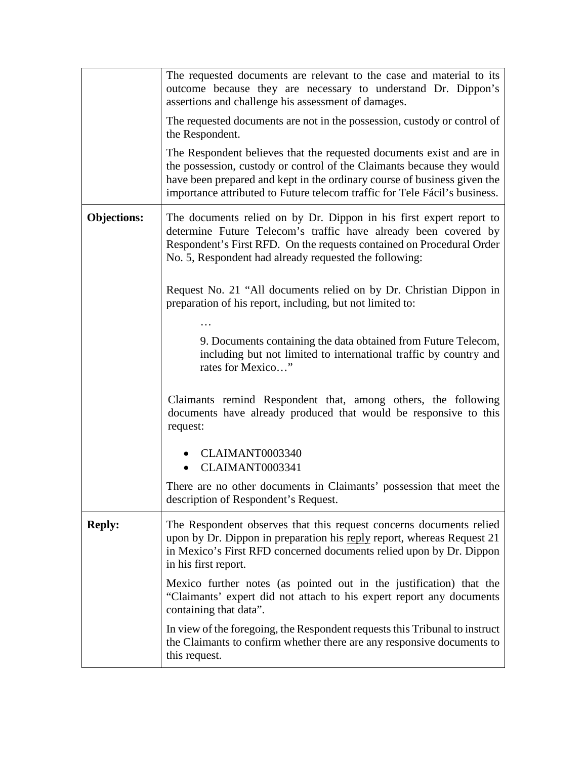|                    | The requested documents are relevant to the case and material to its<br>outcome because they are necessary to understand Dr. Dippon's<br>assertions and challenge his assessment of damages.                                                                                                              |
|--------------------|-----------------------------------------------------------------------------------------------------------------------------------------------------------------------------------------------------------------------------------------------------------------------------------------------------------|
|                    | The requested documents are not in the possession, custody or control of<br>the Respondent.                                                                                                                                                                                                               |
|                    | The Respondent believes that the requested documents exist and are in<br>the possession, custody or control of the Claimants because they would<br>have been prepared and kept in the ordinary course of business given the<br>importance attributed to Future telecom traffic for Tele Fácil's business. |
| <b>Objections:</b> | The documents relied on by Dr. Dippon in his first expert report to<br>determine Future Telecom's traffic have already been covered by<br>Respondent's First RFD. On the requests contained on Procedural Order<br>No. 5, Respondent had already requested the following:                                 |
|                    | Request No. 21 "All documents relied on by Dr. Christian Dippon in<br>preparation of his report, including, but not limited to:                                                                                                                                                                           |
|                    | 9. Documents containing the data obtained from Future Telecom,<br>including but not limited to international traffic by country and<br>rates for Mexico"                                                                                                                                                  |
|                    | Claimants remind Respondent that, among others, the following<br>documents have already produced that would be responsive to this<br>request:                                                                                                                                                             |
|                    | CLAIMANT0003340<br>CLAIMANT0003341                                                                                                                                                                                                                                                                        |
|                    | There are no other documents in Claimants' possession that meet the<br>description of Respondent's Request.                                                                                                                                                                                               |
| <b>Reply:</b>      | The Respondent observes that this request concerns documents relied<br>upon by Dr. Dippon in preparation his reply report, whereas Request 21<br>in Mexico's First RFD concerned documents relied upon by Dr. Dippon<br>in his first report.                                                              |
|                    | Mexico further notes (as pointed out in the justification) that the<br>"Claimants' expert did not attach to his expert report any documents<br>containing that data".                                                                                                                                     |
|                    | In view of the foregoing, the Respondent requests this Tribunal to instruct<br>the Claimants to confirm whether there are any responsive documents to<br>this request.                                                                                                                                    |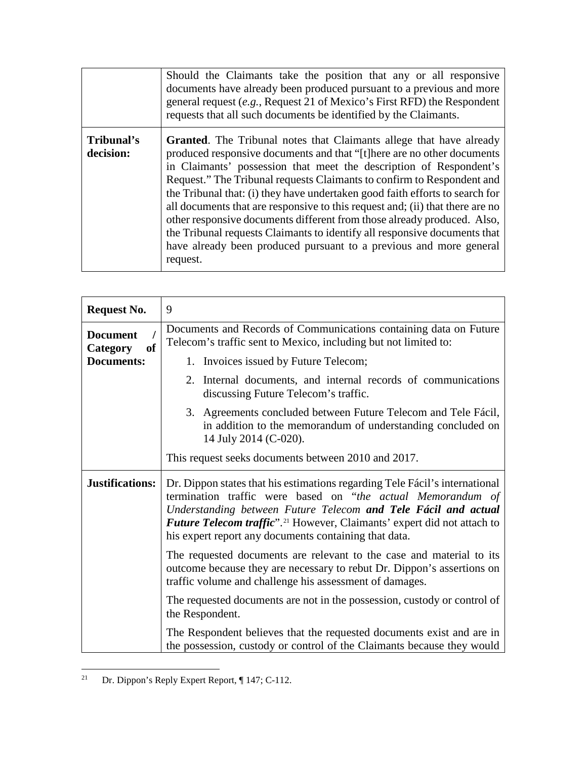|                         | Should the Claimants take the position that any or all responsive<br>documents have already been produced pursuant to a previous and more<br>general request (e.g., Request 21 of Mexico's First RFD) the Respondent<br>requests that all such documents be identified by the Claimants.                                                                                                                                                                                                                                                                                                                                                                                                                         |
|-------------------------|------------------------------------------------------------------------------------------------------------------------------------------------------------------------------------------------------------------------------------------------------------------------------------------------------------------------------------------------------------------------------------------------------------------------------------------------------------------------------------------------------------------------------------------------------------------------------------------------------------------------------------------------------------------------------------------------------------------|
| Tribunal's<br>decision: | <b>Granted.</b> The Tribunal notes that Claimants allege that have already<br>produced responsive documents and that "[t] here are no other documents<br>in Claimants' possession that meet the description of Respondent's<br>Request." The Tribunal requests Claimants to confirm to Respondent and<br>the Tribunal that: (i) they have undertaken good faith efforts to search for<br>all documents that are responsive to this request and; (ii) that there are no<br>other responsive documents different from those already produced. Also,<br>the Tribunal requests Claimants to identify all responsive documents that<br>have already been produced pursuant to a previous and more general<br>request. |

| <b>Request No.</b>                              | 9                                                                                                                                                                                                                                                                                                                                                            |
|-------------------------------------------------|--------------------------------------------------------------------------------------------------------------------------------------------------------------------------------------------------------------------------------------------------------------------------------------------------------------------------------------------------------------|
| <b>Document</b><br><b>of</b><br><b>Category</b> | Documents and Records of Communications containing data on Future<br>Telecom's traffic sent to Mexico, including but not limited to:                                                                                                                                                                                                                         |
| <b>Documents:</b>                               | 1. Invoices issued by Future Telecom;                                                                                                                                                                                                                                                                                                                        |
|                                                 | 2. Internal documents, and internal records of communications<br>discussing Future Telecom's traffic.                                                                                                                                                                                                                                                        |
|                                                 | 3. Agreements concluded between Future Telecom and Tele Fácil,<br>in addition to the memorandum of understanding concluded on<br>14 July 2014 (C-020).                                                                                                                                                                                                       |
|                                                 | This request seeks documents between 2010 and 2017.                                                                                                                                                                                                                                                                                                          |
| Justifications:                                 | Dr. Dippon states that his estimations regarding Tele Fácil's international<br>termination traffic were based on "the actual Memorandum of<br>Understanding between Future Telecom and Tele Fácil and actual<br>Future Telecom traffic". <sup>21</sup> However, Claimants' expert did not attach to<br>his expert report any documents containing that data. |
|                                                 | The requested documents are relevant to the case and material to its<br>outcome because they are necessary to rebut Dr. Dippon's assertions on<br>traffic volume and challenge his assessment of damages.                                                                                                                                                    |
|                                                 | The requested documents are not in the possession, custody or control of<br>the Respondent.                                                                                                                                                                                                                                                                  |
|                                                 | The Respondent believes that the requested documents exist and are in<br>the possession, custody or control of the Claimants because they would                                                                                                                                                                                                              |

<span id="page-21-0"></span> <sup>21</sup> Dr. Dippon's Reply Expert Report, ¶ 147; C-112.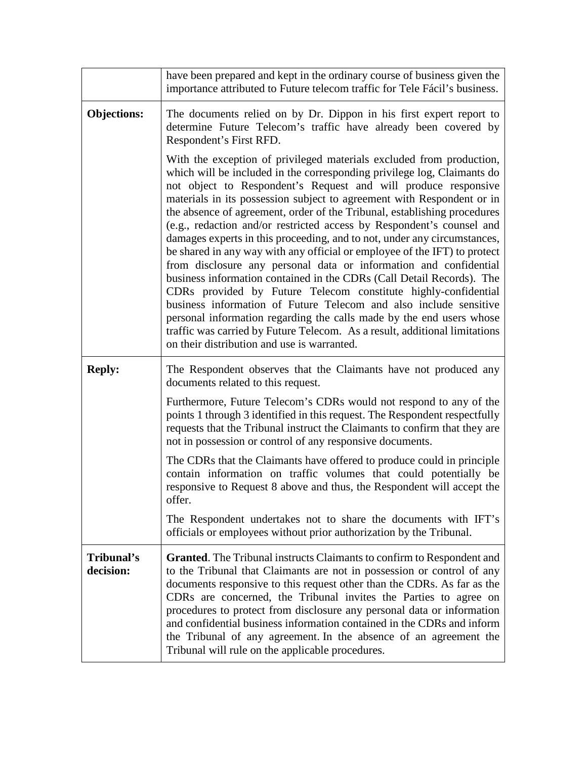|                         | have been prepared and kept in the ordinary course of business given the<br>importance attributed to Future telecom traffic for Tele Fácil's business.                                                                                                                                                                                                                                                                                                                                                                                                                                                                                                                                                                                                                                                                                                                                                                                                                                                                                                                                              |
|-------------------------|-----------------------------------------------------------------------------------------------------------------------------------------------------------------------------------------------------------------------------------------------------------------------------------------------------------------------------------------------------------------------------------------------------------------------------------------------------------------------------------------------------------------------------------------------------------------------------------------------------------------------------------------------------------------------------------------------------------------------------------------------------------------------------------------------------------------------------------------------------------------------------------------------------------------------------------------------------------------------------------------------------------------------------------------------------------------------------------------------------|
| <b>Objections:</b>      | The documents relied on by Dr. Dippon in his first expert report to<br>determine Future Telecom's traffic have already been covered by<br>Respondent's First RFD.                                                                                                                                                                                                                                                                                                                                                                                                                                                                                                                                                                                                                                                                                                                                                                                                                                                                                                                                   |
|                         | With the exception of privileged materials excluded from production,<br>which will be included in the corresponding privilege log, Claimants do<br>not object to Respondent's Request and will produce responsive<br>materials in its possession subject to agreement with Respondent or in<br>the absence of agreement, order of the Tribunal, establishing procedures<br>(e.g., redaction and/or restricted access by Respondent's counsel and<br>damages experts in this proceeding, and to not, under any circumstances,<br>be shared in any way with any official or employee of the IFT) to protect<br>from disclosure any personal data or information and confidential<br>business information contained in the CDRs (Call Detail Records). The<br>CDRs provided by Future Telecom constitute highly-confidential<br>business information of Future Telecom and also include sensitive<br>personal information regarding the calls made by the end users whose<br>traffic was carried by Future Telecom. As a result, additional limitations<br>on their distribution and use is warranted. |
| <b>Reply:</b>           | The Respondent observes that the Claimants have not produced any<br>documents related to this request.                                                                                                                                                                                                                                                                                                                                                                                                                                                                                                                                                                                                                                                                                                                                                                                                                                                                                                                                                                                              |
|                         | Furthermore, Future Telecom's CDRs would not respond to any of the<br>points 1 through 3 identified in this request. The Respondent respectfully<br>requests that the Tribunal instruct the Claimants to confirm that they are<br>not in possession or control of any responsive documents.                                                                                                                                                                                                                                                                                                                                                                                                                                                                                                                                                                                                                                                                                                                                                                                                         |
|                         | The CDRs that the Claimants have offered to produce could in principle<br>contain information on traffic volumes that could potentially be<br>responsive to Request 8 above and thus, the Respondent will accept the<br>offer.                                                                                                                                                                                                                                                                                                                                                                                                                                                                                                                                                                                                                                                                                                                                                                                                                                                                      |
|                         | The Respondent undertakes not to share the documents with IFT's<br>officials or employees without prior authorization by the Tribunal.                                                                                                                                                                                                                                                                                                                                                                                                                                                                                                                                                                                                                                                                                                                                                                                                                                                                                                                                                              |
| Tribunal's<br>decision: | <b>Granted.</b> The Tribunal instructs Claimants to confirm to Respondent and<br>to the Tribunal that Claimants are not in possession or control of any<br>documents responsive to this request other than the CDRs. As far as the<br>CDRs are concerned, the Tribunal invites the Parties to agree on<br>procedures to protect from disclosure any personal data or information<br>and confidential business information contained in the CDRs and inform<br>the Tribunal of any agreement. In the absence of an agreement the<br>Tribunal will rule on the applicable procedures.                                                                                                                                                                                                                                                                                                                                                                                                                                                                                                                 |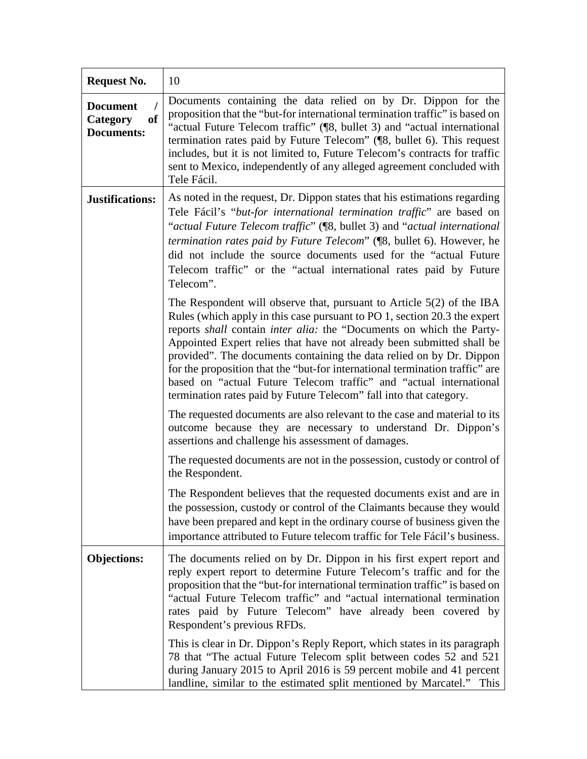| <b>Request No.</b>                                                 | 10                                                                                                                                                                                                                                                                                                                                                                                                                                                                                                                                                                                                        |
|--------------------------------------------------------------------|-----------------------------------------------------------------------------------------------------------------------------------------------------------------------------------------------------------------------------------------------------------------------------------------------------------------------------------------------------------------------------------------------------------------------------------------------------------------------------------------------------------------------------------------------------------------------------------------------------------|
| <b>Document</b><br>I<br><b>of</b><br>Category<br><b>Documents:</b> | Documents containing the data relied on by Dr. Dippon for the<br>proposition that the "but-for international termination traffic" is based on<br>"actual Future Telecom traffic" (¶8, bullet 3) and "actual international<br>termination rates paid by Future Telecom" (¶8, bullet 6). This request<br>includes, but it is not limited to, Future Telecom's contracts for traffic<br>sent to Mexico, independently of any alleged agreement concluded with<br>Tele Fácil.                                                                                                                                 |
| <b>Justifications:</b>                                             | As noted in the request, Dr. Dippon states that his estimations regarding<br>Tele Fácil's "but-for international termination traffic" are based on<br>"actual Future Telecom traffic" ([8, bullet 3) and "actual international<br>termination rates paid by Future Telecom" ([8, bullet 6). However, he<br>did not include the source documents used for the "actual Future"<br>Telecom traffic" or the "actual international rates paid by Future<br>Telecom".                                                                                                                                           |
|                                                                    | The Respondent will observe that, pursuant to Article $5(2)$ of the IBA<br>Rules (which apply in this case pursuant to PO 1, section 20.3 the expert<br>reports shall contain inter alia: the "Documents on which the Party-<br>Appointed Expert relies that have not already been submitted shall be<br>provided". The documents containing the data relied on by Dr. Dippon<br>for the proposition that the "but-for international termination traffic" are<br>based on "actual Future Telecom traffic" and "actual international<br>termination rates paid by Future Telecom" fall into that category. |
|                                                                    | The requested documents are also relevant to the case and material to its<br>outcome because they are necessary to understand Dr. Dippon's<br>assertions and challenge his assessment of damages.                                                                                                                                                                                                                                                                                                                                                                                                         |
|                                                                    | The requested documents are not in the possession, custody or control of<br>the Respondent.                                                                                                                                                                                                                                                                                                                                                                                                                                                                                                               |
|                                                                    | The Respondent believes that the requested documents exist and are in<br>the possession, custody or control of the Claimants because they would<br>have been prepared and kept in the ordinary course of business given the<br>importance attributed to Future telecom traffic for Tele Fácil's business.                                                                                                                                                                                                                                                                                                 |
| <b>Objections:</b>                                                 | The documents relied on by Dr. Dippon in his first expert report and<br>reply expert report to determine Future Telecom's traffic and for the<br>proposition that the "but-for international termination traffic" is based on<br>"actual Future Telecom traffic" and "actual international termination<br>rates paid by Future Telecom" have already been covered by<br>Respondent's previous RFDs.                                                                                                                                                                                                       |
|                                                                    | This is clear in Dr. Dippon's Reply Report, which states in its paragraph<br>78 that "The actual Future Telecom split between codes 52 and 521<br>during January 2015 to April 2016 is 59 percent mobile and 41 percent<br>landline, similar to the estimated split mentioned by Marcatel." This                                                                                                                                                                                                                                                                                                          |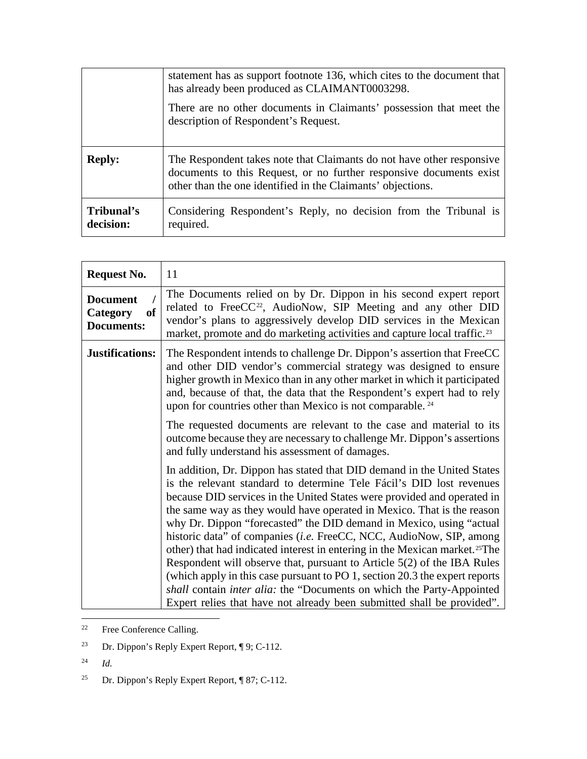|                         | statement has as support footnote 136, which cites to the document that<br>has already been produced as CLAIMANT0003298.                                                                                    |
|-------------------------|-------------------------------------------------------------------------------------------------------------------------------------------------------------------------------------------------------------|
|                         | There are no other documents in Claimants' possession that meet the<br>description of Respondent's Request.                                                                                                 |
| <b>Reply:</b>           | The Respondent takes note that Claimants do not have other responsive<br>documents to this Request, or no further responsive documents exist<br>other than the one identified in the Claimants' objections. |
| Tribunal's<br>decision: | Considering Respondent's Reply, no decision from the Tribunal is<br>required.                                                                                                                               |

| <b>Request No.</b>                                            | 11                                                                                                                                                                                                                                                                                                                                                                                                                                                                                                                                                                                                                                                                                                                                                                                                                                                                         |
|---------------------------------------------------------------|----------------------------------------------------------------------------------------------------------------------------------------------------------------------------------------------------------------------------------------------------------------------------------------------------------------------------------------------------------------------------------------------------------------------------------------------------------------------------------------------------------------------------------------------------------------------------------------------------------------------------------------------------------------------------------------------------------------------------------------------------------------------------------------------------------------------------------------------------------------------------|
| <b>Document</b><br><b>of</b><br>Category<br><b>Documents:</b> | The Documents relied on by Dr. Dippon in his second expert report<br>related to FreeCC <sup>22</sup> , AudioNow, SIP Meeting and any other DID<br>vendor's plans to aggressively develop DID services in the Mexican<br>market, promote and do marketing activities and capture local traffic. <sup>23</sup>                                                                                                                                                                                                                                                                                                                                                                                                                                                                                                                                                               |
| Justifications:                                               | The Respondent intends to challenge Dr. Dippon's assertion that FreeCC<br>and other DID vendor's commercial strategy was designed to ensure<br>higher growth in Mexico than in any other market in which it participated<br>and, because of that, the data that the Respondent's expert had to rely<br>upon for countries other than Mexico is not comparable. <sup>24</sup>                                                                                                                                                                                                                                                                                                                                                                                                                                                                                               |
|                                                               | The requested documents are relevant to the case and material to its<br>outcome because they are necessary to challenge Mr. Dippon's assertions<br>and fully understand his assessment of damages.                                                                                                                                                                                                                                                                                                                                                                                                                                                                                                                                                                                                                                                                         |
|                                                               | In addition, Dr. Dippon has stated that DID demand in the United States<br>is the relevant standard to determine Tele Fácil's DID lost revenues<br>because DID services in the United States were provided and operated in<br>the same way as they would have operated in Mexico. That is the reason<br>why Dr. Dippon "forecasted" the DID demand in Mexico, using "actual<br>historic data" of companies ( <i>i.e.</i> FreeCC, NCC, AudioNow, SIP, among<br>other) that had indicated interest in entering in the Mexican market. <sup>25</sup> The<br>Respondent will observe that, pursuant to Article 5(2) of the IBA Rules<br>(which apply in this case pursuant to PO 1, section 20.3 the expert reports<br>shall contain <i>inter alia</i> : the "Documents on which the Party-Appointed<br>Expert relies that have not already been submitted shall be provided". |

<span id="page-24-0"></span>22 Free Conference Calling.

- <span id="page-24-1"></span><sup>23</sup> Dr. Dippon's Reply Expert Report, ¶ 9; C-112.
- <span id="page-24-2"></span><sup>24</sup> *Id.*
- <span id="page-24-3"></span><sup>25</sup> Dr. Dippon's Reply Expert Report, ¶ 87; C-112.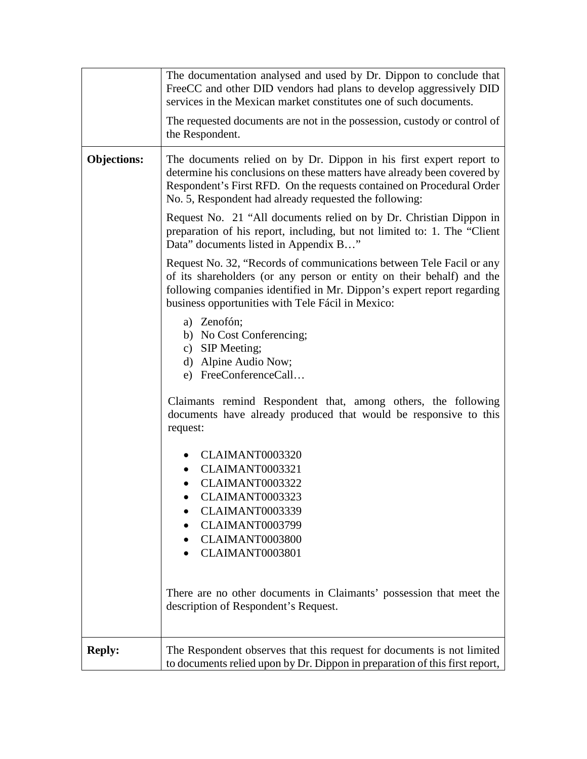|                    | The documentation analysed and used by Dr. Dippon to conclude that<br>FreeCC and other DID vendors had plans to develop aggressively DID<br>services in the Mexican market constitutes one of such documents.                                                                     |
|--------------------|-----------------------------------------------------------------------------------------------------------------------------------------------------------------------------------------------------------------------------------------------------------------------------------|
|                    | The requested documents are not in the possession, custody or control of<br>the Respondent.                                                                                                                                                                                       |
| <b>Objections:</b> | The documents relied on by Dr. Dippon in his first expert report to<br>determine his conclusions on these matters have already been covered by<br>Respondent's First RFD. On the requests contained on Procedural Order<br>No. 5, Respondent had already requested the following: |
|                    | Request No. 21 "All documents relied on by Dr. Christian Dippon in<br>preparation of his report, including, but not limited to: 1. The "Client"<br>Data" documents listed in Appendix B"                                                                                          |
|                    | Request No. 32, "Records of communications between Tele Facil or any<br>of its shareholders (or any person or entity on their behalf) and the<br>following companies identified in Mr. Dippon's expert report regarding<br>business opportunities with Tele Fácil in Mexico:      |
|                    | a) Zenofón;<br>b) No Cost Conferencing;<br>c) SIP Meeting;<br>d) Alpine Audio Now;<br>e) FreeConferenceCall                                                                                                                                                                       |
|                    | Claimants remind Respondent that, among others, the following<br>documents have already produced that would be responsive to this<br>request:                                                                                                                                     |
|                    | CLAIMANT0003320<br>CLAIMANT0003321<br>CLAIMANT0003322<br>CLAIMANT0003323<br>CLAIMANT0003339<br>CLAIMANT0003799<br>CLAIMANT0003800<br>CLAIMANT0003801                                                                                                                              |
|                    | There are no other documents in Claimants' possession that meet the<br>description of Respondent's Request.                                                                                                                                                                       |
| <b>Reply:</b>      | The Respondent observes that this request for documents is not limited<br>to documents relied upon by Dr. Dippon in preparation of this first report,                                                                                                                             |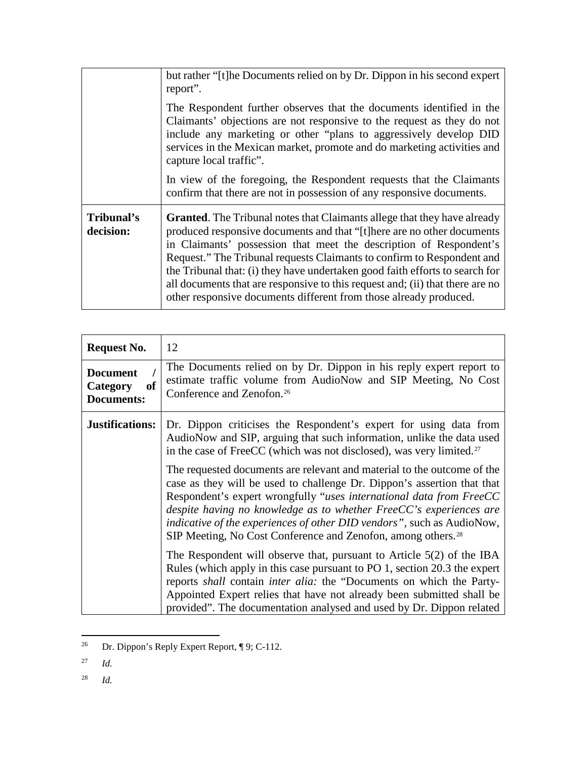|                         | but rather "[t] he Documents relied on by Dr. Dippon in his second expert<br>report".                                                                                                                                                                                                                                                                                                                                                                                                                                                            |
|-------------------------|--------------------------------------------------------------------------------------------------------------------------------------------------------------------------------------------------------------------------------------------------------------------------------------------------------------------------------------------------------------------------------------------------------------------------------------------------------------------------------------------------------------------------------------------------|
|                         | The Respondent further observes that the documents identified in the<br>Claimants' objections are not responsive to the request as they do not<br>include any marketing or other "plans to aggressively develop DID<br>services in the Mexican market, promote and do marketing activities and<br>capture local traffic".                                                                                                                                                                                                                        |
|                         | In view of the foregoing, the Respondent requests that the Claimants<br>confirm that there are not in possession of any responsive documents.                                                                                                                                                                                                                                                                                                                                                                                                    |
| Tribunal's<br>decision: | <b>Granted.</b> The Tribunal notes that Claimants allege that they have already<br>produced responsive documents and that "[t] here are no other documents<br>in Claimants' possession that meet the description of Respondent's<br>Request." The Tribunal requests Claimants to confirm to Respondent and<br>the Tribunal that: (i) they have undertaken good faith efforts to search for<br>all documents that are responsive to this request and; (ii) that there are no<br>other responsive documents different from those already produced. |

| <b>Request No.</b>                                     | 12                                                                                                                                                                                                                                                                                                                                                                                                                                                    |
|--------------------------------------------------------|-------------------------------------------------------------------------------------------------------------------------------------------------------------------------------------------------------------------------------------------------------------------------------------------------------------------------------------------------------------------------------------------------------------------------------------------------------|
| <b>Document</b><br>Category<br>of<br><b>Documents:</b> | The Documents relied on by Dr. Dippon in his reply expert report to<br>estimate traffic volume from AudioNow and SIP Meeting, No Cost<br>Conference and Zenofon. <sup>26</sup>                                                                                                                                                                                                                                                                        |
| <b>Justifications:</b>                                 | Dr. Dippon criticises the Respondent's expert for using data from<br>AudioNow and SIP, arguing that such information, unlike the data used<br>in the case of FreeCC (which was not disclosed), was very limited. <sup>27</sup>                                                                                                                                                                                                                        |
|                                                        | The requested documents are relevant and material to the outcome of the<br>case as they will be used to challenge Dr. Dippon's assertion that that<br>Respondent's expert wrongfully "uses international data from FreeCC<br>despite having no knowledge as to whether FreeCC's experiences are<br>indicative of the experiences of other DID vendors", such as AudioNow,<br>SIP Meeting, No Cost Conference and Zenofon, among others. <sup>28</sup> |
|                                                        | The Respondent will observe that, pursuant to Article $5(2)$ of the IBA<br>Rules (which apply in this case pursuant to PO 1, section 20.3 the expert<br>reports shall contain <i>inter alia</i> : the "Documents on which the Party-<br>Appointed Expert relies that have not already been submitted shall be<br>provided". The documentation analysed and used by Dr. Dippon related                                                                 |

<span id="page-26-0"></span> <sup>26</sup> Dr. Dippon's Reply Expert Report, ¶ 9; C-112.

<span id="page-26-2"></span><sup>28</sup> *Id.*

<span id="page-26-1"></span><sup>27</sup> *Id.*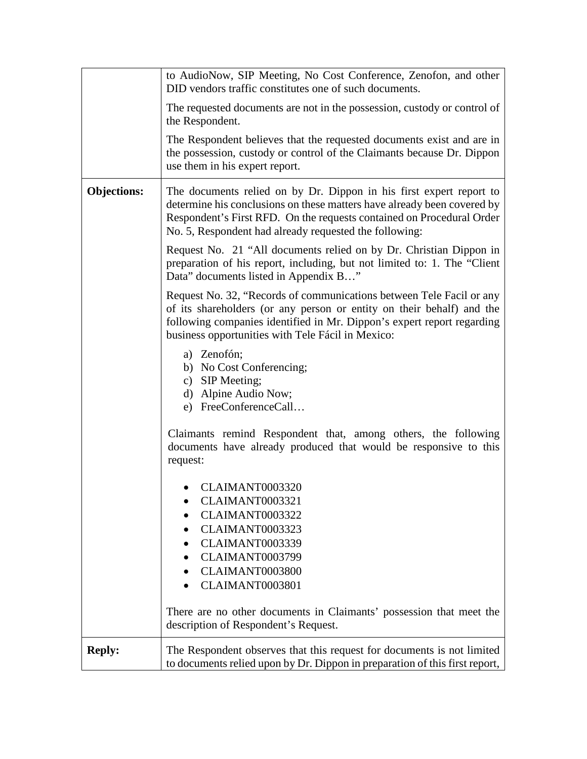|                    | to AudioNow, SIP Meeting, No Cost Conference, Zenofon, and other<br>DID vendors traffic constitutes one of such documents.                                                                                                                                                        |
|--------------------|-----------------------------------------------------------------------------------------------------------------------------------------------------------------------------------------------------------------------------------------------------------------------------------|
|                    | The requested documents are not in the possession, custody or control of<br>the Respondent.                                                                                                                                                                                       |
|                    | The Respondent believes that the requested documents exist and are in<br>the possession, custody or control of the Claimants because Dr. Dippon<br>use them in his expert report.                                                                                                 |
| <b>Objections:</b> | The documents relied on by Dr. Dippon in his first expert report to<br>determine his conclusions on these matters have already been covered by<br>Respondent's First RFD. On the requests contained on Procedural Order<br>No. 5, Respondent had already requested the following: |
|                    | Request No. 21 "All documents relied on by Dr. Christian Dippon in<br>preparation of his report, including, but not limited to: 1. The "Client<br>Data" documents listed in Appendix B"                                                                                           |
|                    | Request No. 32, "Records of communications between Tele Facil or any<br>of its shareholders (or any person or entity on their behalf) and the<br>following companies identified in Mr. Dippon's expert report regarding<br>business opportunities with Tele Fácil in Mexico:      |
|                    | a) Zenofón;<br>b) No Cost Conferencing;<br>c) SIP Meeting;<br>d) Alpine Audio Now;<br>e) FreeConferenceCall                                                                                                                                                                       |
|                    | Claimants remind Respondent that, among others, the following<br>documents have already produced that would be responsive to this<br>request:                                                                                                                                     |
|                    | CLAIMANT0003320<br>CLAIMANT0003321                                                                                                                                                                                                                                                |
|                    | CLAIMANT0003322                                                                                                                                                                                                                                                                   |
|                    | CLAIMANT0003323                                                                                                                                                                                                                                                                   |
|                    | CLAIMANT0003339                                                                                                                                                                                                                                                                   |
|                    | CLAIMANT0003799                                                                                                                                                                                                                                                                   |
|                    | CLAIMANT0003800                                                                                                                                                                                                                                                                   |
|                    | CLAIMANT0003801                                                                                                                                                                                                                                                                   |
|                    | There are no other documents in Claimants' possession that meet the<br>description of Respondent's Request.                                                                                                                                                                       |
| <b>Reply:</b>      | The Respondent observes that this request for documents is not limited<br>to documents relied upon by Dr. Dippon in preparation of this first report,                                                                                                                             |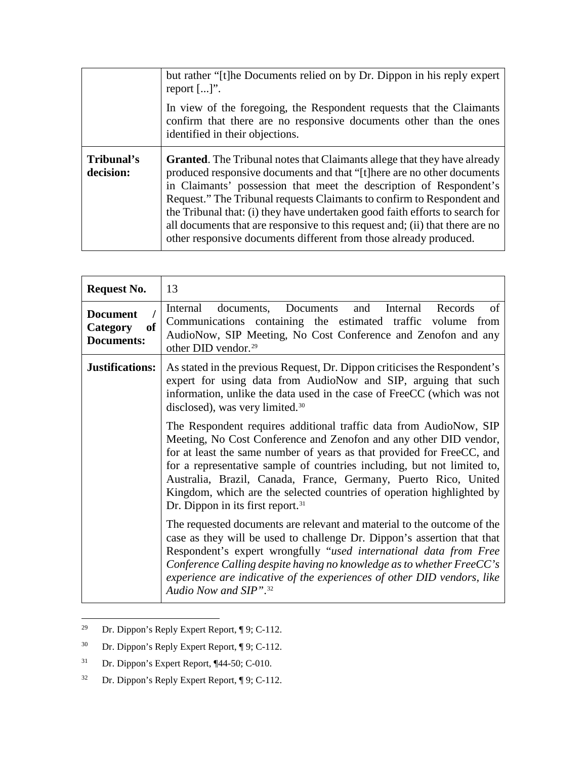|                         | but rather "[t] he Documents relied on by Dr. Dippon in his reply expert<br>report $[]$ .                                                                                                                                                                                                                                                                                                                                                                                                                                                        |
|-------------------------|--------------------------------------------------------------------------------------------------------------------------------------------------------------------------------------------------------------------------------------------------------------------------------------------------------------------------------------------------------------------------------------------------------------------------------------------------------------------------------------------------------------------------------------------------|
|                         | In view of the foregoing, the Respondent requests that the Claimants<br>confirm that there are no responsive documents other than the ones<br>identified in their objections.                                                                                                                                                                                                                                                                                                                                                                    |
| Tribunal's<br>decision: | <b>Granted.</b> The Tribunal notes that Claimants allege that they have already<br>produced responsive documents and that "[t] here are no other documents<br>in Claimants' possession that meet the description of Respondent's<br>Request." The Tribunal requests Claimants to confirm to Respondent and<br>the Tribunal that: (i) they have undertaken good faith efforts to search for<br>all documents that are responsive to this request and; (ii) that there are no<br>other responsive documents different from those already produced. |

| <b>Request No.</b>                                     | 13                                                                                                                                                                                                                                                                                                                                                                                                                                                                                        |
|--------------------------------------------------------|-------------------------------------------------------------------------------------------------------------------------------------------------------------------------------------------------------------------------------------------------------------------------------------------------------------------------------------------------------------------------------------------------------------------------------------------------------------------------------------------|
| <b>Document</b><br>of<br>Category<br><b>Documents:</b> | documents, Documents<br>Internal<br>and<br>Internal<br>Records<br>of<br>Communications containing the estimated traffic volume from<br>AudioNow, SIP Meeting, No Cost Conference and Zenofon and any<br>other DID vendor. <sup>29</sup>                                                                                                                                                                                                                                                   |
| <b>Justifications:</b>                                 | As stated in the previous Request, Dr. Dippon criticises the Respondent's<br>expert for using data from AudioNow and SIP, arguing that such<br>information, unlike the data used in the case of FreeCC (which was not<br>disclosed), was very limited. <sup>30</sup>                                                                                                                                                                                                                      |
|                                                        | The Respondent requires additional traffic data from AudioNow, SIP<br>Meeting, No Cost Conference and Zenofon and any other DID vendor,<br>for at least the same number of years as that provided for FreeCC, and<br>for a representative sample of countries including, but not limited to,<br>Australia, Brazil, Canada, France, Germany, Puerto Rico, United<br>Kingdom, which are the selected countries of operation highlighted by<br>Dr. Dippon in its first report. <sup>31</sup> |
|                                                        | The requested documents are relevant and material to the outcome of the<br>case as they will be used to challenge Dr. Dippon's assertion that that<br>Respondent's expert wrongfully "used international data from Free<br>Conference Calling despite having no knowledge as to whether FreeCC's<br>experience are indicative of the experiences of other DID vendors, like<br>Audio Now and SIP". <sup>32</sup>                                                                          |

<span id="page-28-0"></span> <sup>29</sup> Dr. Dippon's Reply Expert Report, ¶ 9; C-112.

<span id="page-28-1"></span><sup>30</sup> Dr. Dippon's Reply Expert Report, ¶ 9; C-112.

<span id="page-28-2"></span><sup>31</sup> Dr. Dippon's Expert Report, ¶44-50; C-010.

<span id="page-28-3"></span><sup>32</sup> Dr. Dippon's Reply Expert Report, ¶ 9; C-112.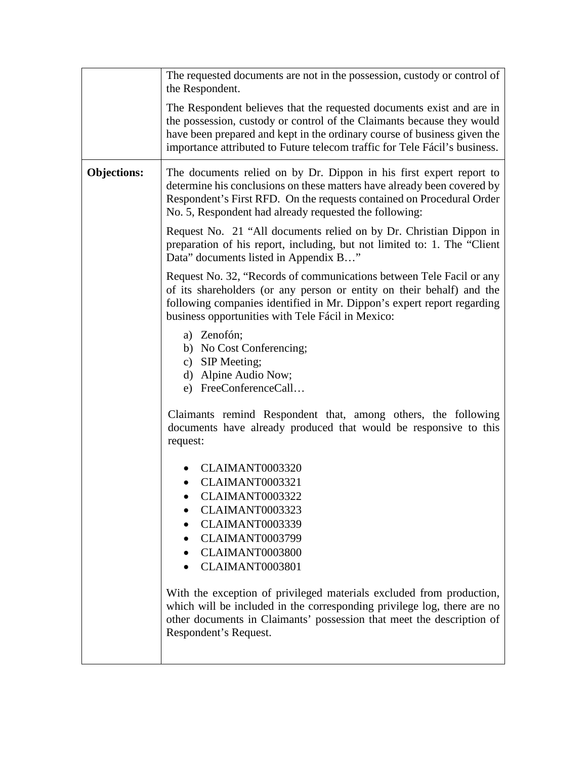|                    | The requested documents are not in the possession, custody or control of<br>the Respondent.                                                                                                                                                                                                                                                                                                                 |
|--------------------|-------------------------------------------------------------------------------------------------------------------------------------------------------------------------------------------------------------------------------------------------------------------------------------------------------------------------------------------------------------------------------------------------------------|
|                    | The Respondent believes that the requested documents exist and are in<br>the possession, custody or control of the Claimants because they would<br>have been prepared and kept in the ordinary course of business given the<br>importance attributed to Future telecom traffic for Tele Fácil's business.                                                                                                   |
| <b>Objections:</b> | The documents relied on by Dr. Dippon in his first expert report to<br>determine his conclusions on these matters have already been covered by<br>Respondent's First RFD. On the requests contained on Procedural Order<br>No. 5, Respondent had already requested the following:                                                                                                                           |
|                    | Request No. 21 "All documents relied on by Dr. Christian Dippon in<br>preparation of his report, including, but not limited to: 1. The "Client"<br>Data" documents listed in Appendix B"                                                                                                                                                                                                                    |
|                    | Request No. 32, "Records of communications between Tele Facil or any<br>of its shareholders (or any person or entity on their behalf) and the<br>following companies identified in Mr. Dippon's expert report regarding<br>business opportunities with Tele Fácil in Mexico:                                                                                                                                |
|                    | a) Zenofón;<br>b) No Cost Conferencing;<br>c) SIP Meeting;<br>d) Alpine Audio Now;<br>e) FreeConferenceCall                                                                                                                                                                                                                                                                                                 |
|                    | Claimants remind Respondent that, among others, the following<br>documents have already produced that would be responsive to this<br>request:                                                                                                                                                                                                                                                               |
|                    | CLAIMANT0003320<br>CLAIMANT0003321<br>CLAIMANT0003322<br>CLAIMANT0003323<br>CLAIMANT0003339<br>• CLAIMANT0003799<br>CLAIMANT0003800<br>CLAIMANT0003801<br>With the exception of privileged materials excluded from production,<br>which will be included in the corresponding privilege log, there are no<br>other documents in Claimants' possession that meet the description of<br>Respondent's Request. |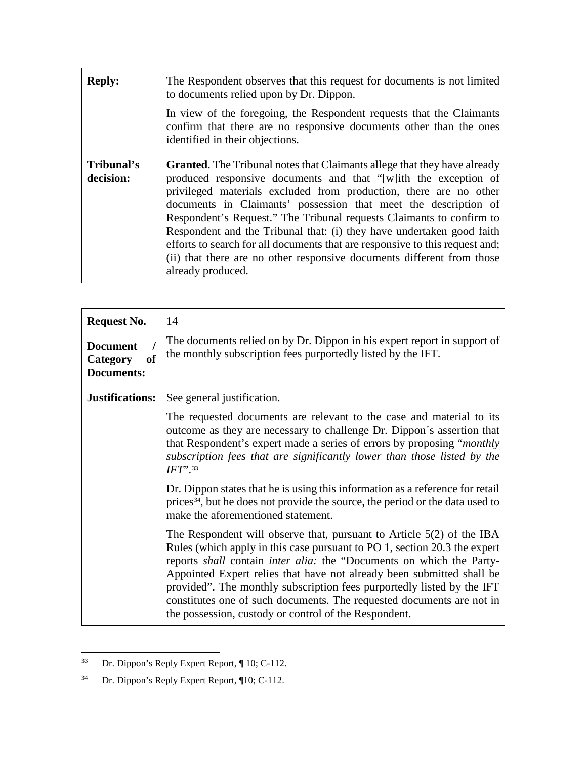| <b>Reply:</b>           | The Respondent observes that this request for documents is not limited<br>to documents relied upon by Dr. Dippon.<br>In view of the foregoing, the Respondent requests that the Claimants<br>confirm that there are no responsive documents other than the ones<br>identified in their objections.                                                                                                                                                                                                                                                                                                                         |
|-------------------------|----------------------------------------------------------------------------------------------------------------------------------------------------------------------------------------------------------------------------------------------------------------------------------------------------------------------------------------------------------------------------------------------------------------------------------------------------------------------------------------------------------------------------------------------------------------------------------------------------------------------------|
| Tribunal's<br>decision: | <b>Granted.</b> The Tribunal notes that Claimants allege that they have already<br>produced responsive documents and that "[w]ith the exception of<br>privileged materials excluded from production, there are no other<br>documents in Claimants' possession that meet the description of<br>Respondent's Request." The Tribunal requests Claimants to confirm to<br>Respondent and the Tribunal that: (i) they have undertaken good faith<br>efforts to search for all documents that are responsive to this request and;<br>(ii) that there are no other responsive documents different from those<br>already produced. |

| <b>Request No.</b>                                            | 14                                                                                                                                                                                                                                                                                                                                                                                                                                                                                                                |
|---------------------------------------------------------------|-------------------------------------------------------------------------------------------------------------------------------------------------------------------------------------------------------------------------------------------------------------------------------------------------------------------------------------------------------------------------------------------------------------------------------------------------------------------------------------------------------------------|
| <b>Document</b><br><b>of</b><br>Category<br><b>Documents:</b> | The documents relied on by Dr. Dippon in his expert report in support of<br>the monthly subscription fees purportedly listed by the IFT.                                                                                                                                                                                                                                                                                                                                                                          |
| <b>Justifications:</b>                                        | See general justification.<br>The requested documents are relevant to the case and material to its                                                                                                                                                                                                                                                                                                                                                                                                                |
|                                                               | outcome as they are necessary to challenge Dr. Dippon's assertion that<br>that Respondent's expert made a series of errors by proposing " <i>monthly</i><br>subscription fees that are significantly lower than those listed by the<br>$IFT$ <sup>33</sup>                                                                                                                                                                                                                                                        |
|                                                               | Dr. Dippon states that he is using this information as a reference for retail<br>prices <sup>34</sup> , but he does not provide the source, the period or the data used to<br>make the aforementioned statement.                                                                                                                                                                                                                                                                                                  |
|                                                               | The Respondent will observe that, pursuant to Article $5(2)$ of the IBA<br>Rules (which apply in this case pursuant to PO 1, section 20.3 the expert<br>reports shall contain inter alia: the "Documents on which the Party-<br>Appointed Expert relies that have not already been submitted shall be<br>provided". The monthly subscription fees purportedly listed by the IFT<br>constitutes one of such documents. The requested documents are not in<br>the possession, custody or control of the Respondent. |

<span id="page-30-0"></span> <sup>33</sup> Dr. Dippon's Reply Expert Report, ¶ 10; C-112.

<span id="page-30-1"></span><sup>34</sup> Dr. Dippon's Reply Expert Report, ¶10; C-112.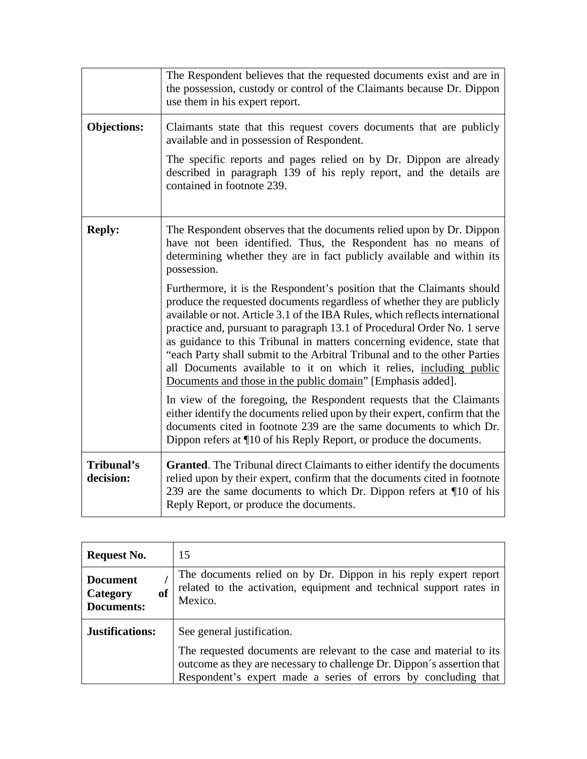|                         | The Respondent believes that the requested documents exist and are in<br>the possession, custody or control of the Claimants because Dr. Dippon<br>use them in his expert report.                                                                                                                                                                                                                                                                                                                                                                                                                                                                                                                                                                                                                                                                                                                                                                                                                                                                                            |
|-------------------------|------------------------------------------------------------------------------------------------------------------------------------------------------------------------------------------------------------------------------------------------------------------------------------------------------------------------------------------------------------------------------------------------------------------------------------------------------------------------------------------------------------------------------------------------------------------------------------------------------------------------------------------------------------------------------------------------------------------------------------------------------------------------------------------------------------------------------------------------------------------------------------------------------------------------------------------------------------------------------------------------------------------------------------------------------------------------------|
| <b>Objections:</b>      | Claimants state that this request covers documents that are publicly<br>available and in possession of Respondent.<br>The specific reports and pages relied on by Dr. Dippon are already<br>described in paragraph 139 of his reply report, and the details are<br>contained in footnote 239.                                                                                                                                                                                                                                                                                                                                                                                                                                                                                                                                                                                                                                                                                                                                                                                |
| <b>Reply:</b>           | The Respondent observes that the documents relied upon by Dr. Dippon<br>have not been identified. Thus, the Respondent has no means of<br>determining whether they are in fact publicly available and within its<br>possession.<br>Furthermore, it is the Respondent's position that the Claimants should<br>produce the requested documents regardless of whether they are publicly<br>available or not. Article 3.1 of the IBA Rules, which reflects international<br>practice and, pursuant to paragraph 13.1 of Procedural Order No. 1 serve<br>as guidance to this Tribunal in matters concerning evidence, state that<br>"each Party shall submit to the Arbitral Tribunal and to the other Parties<br>all Documents available to it on which it relies, including public<br>Documents and those in the public domain" [Emphasis added].<br>In view of the foregoing, the Respondent requests that the Claimants<br>either identify the documents relied upon by their expert, confirm that the<br>documents cited in footnote 239 are the same documents to which Dr. |
| Tribunal's<br>decision: | Dippon refers at ¶10 of his Reply Report, or produce the documents.<br><b>Granted.</b> The Tribunal direct Claimants to either identify the documents<br>relied upon by their expert, confirm that the documents cited in footnote<br>239 are the same documents to which Dr. Dippon refers at ¶10 of his<br>Reply Report, or produce the documents.                                                                                                                                                                                                                                                                                                                                                                                                                                                                                                                                                                                                                                                                                                                         |

| <b>Request No.</b>                                     | 15                                                                                                                                                                                                               |
|--------------------------------------------------------|------------------------------------------------------------------------------------------------------------------------------------------------------------------------------------------------------------------|
| <b>Document</b><br>of<br>Category<br><b>Documents:</b> | The documents relied on by Dr. Dippon in his reply expert report<br>related to the activation, equipment and technical support rates in<br>Mexico.                                                               |
| <b>Justifications:</b>                                 | See general justification.                                                                                                                                                                                       |
|                                                        | The requested documents are relevant to the case and material to its<br>outcome as they are necessary to challenge Dr. Dippon's assertion that<br>Respondent's expert made a series of errors by concluding that |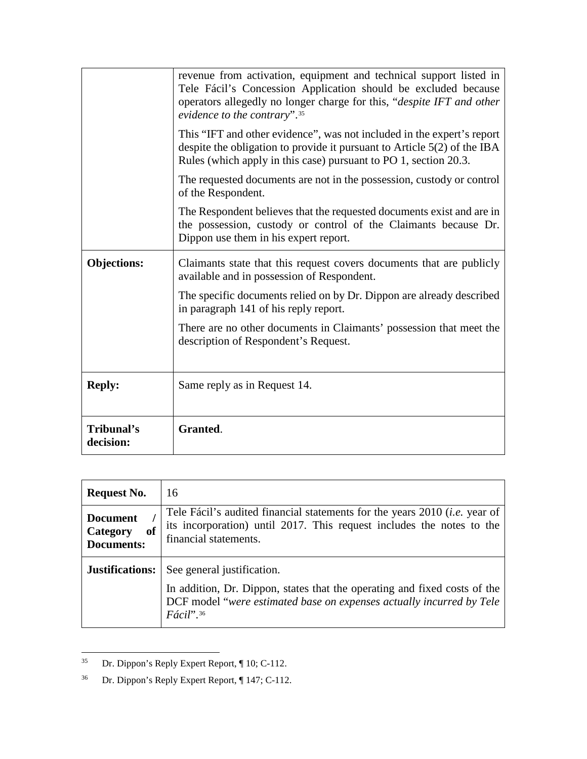|                         | revenue from activation, equipment and technical support listed in<br>Tele Fácil's Concession Application should be excluded because<br>operators allegedly no longer charge for this, "despite IFT and other<br>evidence to the contrary". <sup>35</sup> |
|-------------------------|-----------------------------------------------------------------------------------------------------------------------------------------------------------------------------------------------------------------------------------------------------------|
|                         | This "IFT and other evidence", was not included in the expert's report<br>despite the obligation to provide it pursuant to Article $5(2)$ of the IBA<br>Rules (which apply in this case) pursuant to PO 1, section 20.3.                                  |
|                         | The requested documents are not in the possession, custody or control<br>of the Respondent.                                                                                                                                                               |
|                         | The Respondent believes that the requested documents exist and are in<br>the possession, custody or control of the Claimants because Dr.<br>Dippon use them in his expert report.                                                                         |
| <b>Objections:</b>      | Claimants state that this request covers documents that are publicly<br>available and in possession of Respondent.                                                                                                                                        |
|                         | The specific documents relied on by Dr. Dippon are already described<br>in paragraph 141 of his reply report.                                                                                                                                             |
|                         | There are no other documents in Claimants' possession that meet the<br>description of Respondent's Request.                                                                                                                                               |
| <b>Reply:</b>           | Same reply as in Request 14.                                                                                                                                                                                                                              |
| Tribunal's<br>decision: | Granted.                                                                                                                                                                                                                                                  |

| <b>Request No.</b>                                     | 16                                                                                                                                                                                                                  |
|--------------------------------------------------------|---------------------------------------------------------------------------------------------------------------------------------------------------------------------------------------------------------------------|
| <b>Document</b><br>of<br>Category<br><b>Documents:</b> | Tele Fácil's audited financial statements for the years 2010 <i>(i.e.</i> year of<br>its incorporation) until 2017. This request includes the notes to the<br>financial statements.                                 |
| <b>Justifications:</b>                                 | See general justification.<br>In addition, Dr. Dippon, states that the operating and fixed costs of the<br>DCF model "were estimated base on expenses actually incurred by Tele<br>$F\acute{a}cil$ ". <sup>36</sup> |

<span id="page-32-0"></span> <sup>35</sup> Dr. Dippon's Reply Expert Report, ¶ 10; C-112.

<span id="page-32-1"></span><sup>36</sup> Dr. Dippon's Reply Expert Report, ¶ 147; C-112.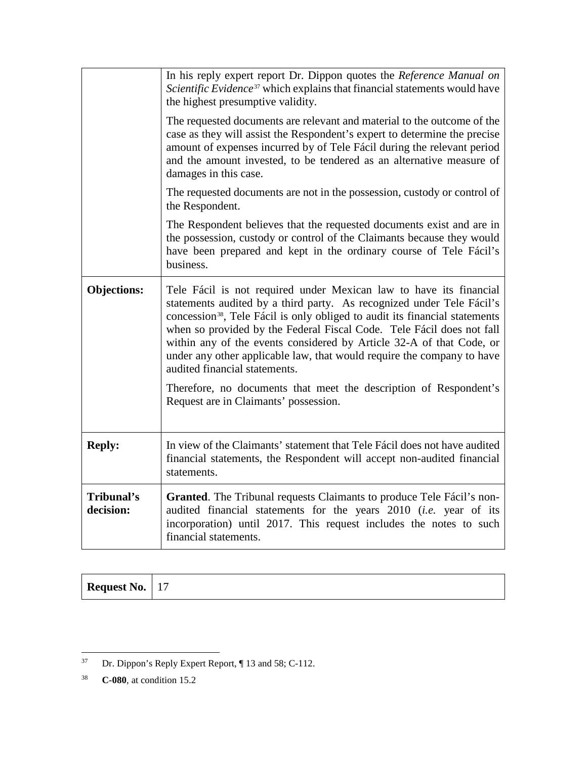|                         | In his reply expert report Dr. Dippon quotes the Reference Manual on<br>Scientific Evidence <sup>37</sup> which explains that financial statements would have<br>the highest presumptive validity.                                                                                                                                                                                                                                                                                                                                                                                                               |
|-------------------------|------------------------------------------------------------------------------------------------------------------------------------------------------------------------------------------------------------------------------------------------------------------------------------------------------------------------------------------------------------------------------------------------------------------------------------------------------------------------------------------------------------------------------------------------------------------------------------------------------------------|
|                         | The requested documents are relevant and material to the outcome of the<br>case as they will assist the Respondent's expert to determine the precise<br>amount of expenses incurred by of Tele Fácil during the relevant period<br>and the amount invested, to be tendered as an alternative measure of<br>damages in this case.                                                                                                                                                                                                                                                                                 |
|                         | The requested documents are not in the possession, custody or control of<br>the Respondent.                                                                                                                                                                                                                                                                                                                                                                                                                                                                                                                      |
|                         | The Respondent believes that the requested documents exist and are in<br>the possession, custody or control of the Claimants because they would<br>have been prepared and kept in the ordinary course of Tele Fácil's<br>business.                                                                                                                                                                                                                                                                                                                                                                               |
| <b>Objections:</b>      | Tele Fácil is not required under Mexican law to have its financial<br>statements audited by a third party. As recognized under Tele Fácil's<br>concession <sup>38</sup> , Tele Fácil is only obliged to audit its financial statements<br>when so provided by the Federal Fiscal Code. Tele Fácil does not fall<br>within any of the events considered by Article 32-A of that Code, or<br>under any other applicable law, that would require the company to have<br>audited financial statements.<br>Therefore, no documents that meet the description of Respondent's<br>Request are in Claimants' possession. |
|                         |                                                                                                                                                                                                                                                                                                                                                                                                                                                                                                                                                                                                                  |
| <b>Reply:</b>           | In view of the Claimants' statement that Tele Fácil does not have audited<br>financial statements, the Respondent will accept non-audited financial<br>statements.                                                                                                                                                                                                                                                                                                                                                                                                                                               |
| Tribunal's<br>decision: | Granted. The Tribunal requests Claimants to produce Tele Fácil's non-<br>audited financial statements for the years 2010 (i.e. year of its<br>incorporation) until 2017. This request includes the notes to such<br>financial statements.                                                                                                                                                                                                                                                                                                                                                                        |

| <b>Request No.</b> | $\perp$ |  |
|--------------------|---------|--|
|--------------------|---------|--|

<span id="page-33-0"></span> <sup>37</sup> Dr. Dippon's Reply Expert Report, ¶ 13 and 58; C-112.

<span id="page-33-1"></span><sup>38</sup> **C-080**, at condition 15.2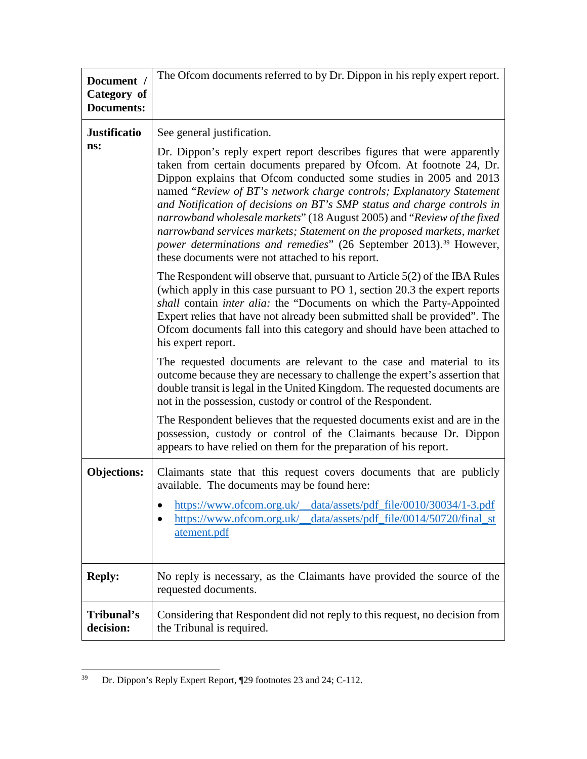| Document /<br>Category of<br><b>Documents:</b> | The Ofcom documents referred to by Dr. Dippon in his reply expert report.                                                                                                                                                                                                                                                                                                                                                                                                                                                                                                                                                                                                                                                                                                                                                                                        |
|------------------------------------------------|------------------------------------------------------------------------------------------------------------------------------------------------------------------------------------------------------------------------------------------------------------------------------------------------------------------------------------------------------------------------------------------------------------------------------------------------------------------------------------------------------------------------------------------------------------------------------------------------------------------------------------------------------------------------------------------------------------------------------------------------------------------------------------------------------------------------------------------------------------------|
| <b>Justificatio</b><br>ns:                     | See general justification.<br>Dr. Dippon's reply expert report describes figures that were apparently<br>taken from certain documents prepared by Ofcom. At footnote 24, Dr.<br>Dippon explains that Ofcom conducted some studies in 2005 and 2013<br>named "Review of BT's network charge controls; Explanatory Statement<br>and Notification of decisions on BT's SMP status and charge controls in<br>narrowband wholesale markets" (18 August 2005) and "Review of the fixed<br>narrowband services markets; Statement on the proposed markets, market<br>power determinations and remedies" (26 September 2013). <sup>39</sup> However,<br>these documents were not attached to his report.<br>The Respondent will observe that, pursuant to Article $5(2)$ of the IBA Rules<br>(which apply in this case pursuant to PO 1, section 20.3 the expert reports |
|                                                | shall contain inter alia: the "Documents on which the Party-Appointed<br>Expert relies that have not already been submitted shall be provided". The<br>Ofcom documents fall into this category and should have been attached to<br>his expert report.<br>The requested documents are relevant to the case and material to its<br>outcome because they are necessary to challenge the expert's assertion that<br>double transit is legal in the United Kingdom. The requested documents are<br>not in the possession, custody or control of the Respondent.<br>The Respondent believes that the requested documents exist and are in the                                                                                                                                                                                                                          |
|                                                | possession, custody or control of the Claimants because Dr. Dippon<br>appears to have relied on them for the preparation of his report.                                                                                                                                                                                                                                                                                                                                                                                                                                                                                                                                                                                                                                                                                                                          |
| <b>Objections:</b>                             | Claimants state that this request covers documents that are publicly<br>available. The documents may be found here:<br>https://www.ofcom.org.uk/<br>data/assets/pdf_file/0010/30034/1-3.pdf<br>https://www.ofcom.org.uk/<br>data/assets/pdf_file/0014/50720/final_st<br>atement.pdf                                                                                                                                                                                                                                                                                                                                                                                                                                                                                                                                                                              |
| <b>Reply:</b>                                  | No reply is necessary, as the Claimants have provided the source of the<br>requested documents.                                                                                                                                                                                                                                                                                                                                                                                                                                                                                                                                                                                                                                                                                                                                                                  |
| Tribunal's<br>decision:                        | Considering that Respondent did not reply to this request, no decision from<br>the Tribunal is required.                                                                                                                                                                                                                                                                                                                                                                                                                                                                                                                                                                                                                                                                                                                                                         |

<span id="page-34-0"></span> <sup>39</sup> Dr. Dippon's Reply Expert Report, ¶29 footnotes 23 and 24; C-112.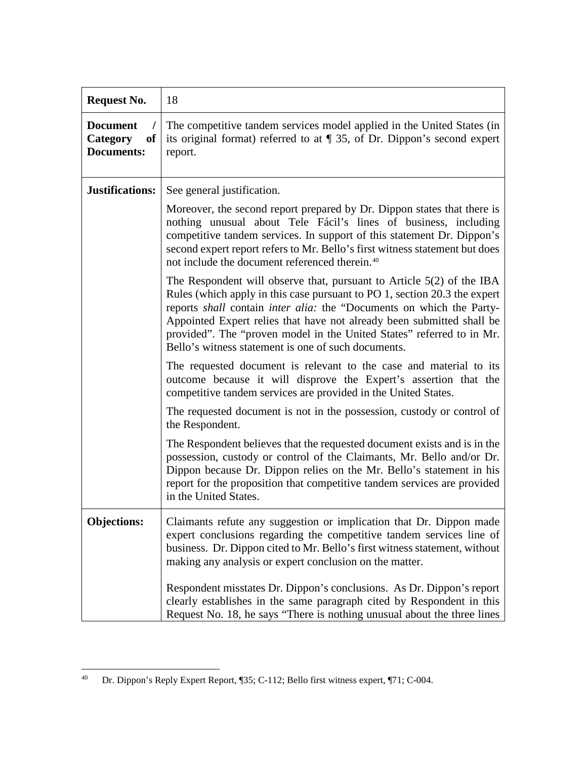| <b>Request No.</b>                                     | 18                                                                                                                                                                                                                                                                                                                                                                                                                                    |
|--------------------------------------------------------|---------------------------------------------------------------------------------------------------------------------------------------------------------------------------------------------------------------------------------------------------------------------------------------------------------------------------------------------------------------------------------------------------------------------------------------|
| <b>Document</b><br>of<br>Category<br><b>Documents:</b> | The competitive tandem services model applied in the United States (in<br>its original format) referred to at $\P$ 35, of Dr. Dippon's second expert<br>report.                                                                                                                                                                                                                                                                       |
| Justifications:                                        | See general justification.                                                                                                                                                                                                                                                                                                                                                                                                            |
|                                                        | Moreover, the second report prepared by Dr. Dippon states that there is<br>nothing unusual about Tele Fácil's lines of business, including<br>competitive tandem services. In support of this statement Dr. Dippon's<br>second expert report refers to Mr. Bello's first witness statement but does<br>not include the document referenced therein. <sup>40</sup>                                                                     |
|                                                        | The Respondent will observe that, pursuant to Article $5(2)$ of the IBA<br>Rules (which apply in this case pursuant to PO 1, section 20.3 the expert<br>reports shall contain inter alia: the "Documents on which the Party-<br>Appointed Expert relies that have not already been submitted shall be<br>provided". The "proven model in the United States" referred to in Mr.<br>Bello's witness statement is one of such documents. |
|                                                        | The requested document is relevant to the case and material to its<br>outcome because it will disprove the Expert's assertion that the<br>competitive tandem services are provided in the United States.                                                                                                                                                                                                                              |
|                                                        | The requested document is not in the possession, custody or control of<br>the Respondent.                                                                                                                                                                                                                                                                                                                                             |
|                                                        | The Respondent believes that the requested document exists and is in the<br>possession, custody or control of the Claimants, Mr. Bello and/or Dr.<br>Dippon because Dr. Dippon relies on the Mr. Bello's statement in his<br>report for the proposition that competitive tandem services are provided<br>in the United States.                                                                                                        |
| <b>Objections:</b>                                     | Claimants refute any suggestion or implication that Dr. Dippon made<br>expert conclusions regarding the competitive tandem services line of<br>business. Dr. Dippon cited to Mr. Bello's first witness statement, without<br>making any analysis or expert conclusion on the matter.                                                                                                                                                  |
|                                                        | Respondent misstates Dr. Dippon's conclusions. As Dr. Dippon's report<br>clearly establishes in the same paragraph cited by Respondent in this<br>Request No. 18, he says "There is nothing unusual about the three lines"                                                                                                                                                                                                            |

<span id="page-35-0"></span> <sup>40</sup> Dr. Dippon's Reply Expert Report, ¶35; C-112; Bello first witness expert, ¶71; C-004.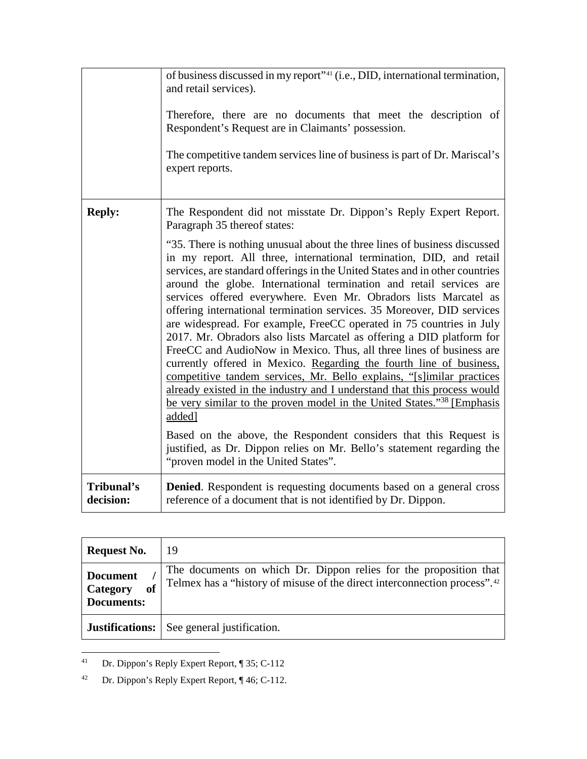|                         | of business discussed in my report" <sup>41</sup> (i.e., DID, international termination,<br>and retail services).<br>Therefore, there are no documents that meet the description of<br>Respondent's Request are in Claimants' possession.<br>The competitive tandem services line of business is part of Dr. Mariscal's<br>expert reports.                                                                                                                                                                                                                                                                                                                                                                                                                                                                                                                                                                                                                                                                                                                                                                                                                                                                                                                                                              |
|-------------------------|---------------------------------------------------------------------------------------------------------------------------------------------------------------------------------------------------------------------------------------------------------------------------------------------------------------------------------------------------------------------------------------------------------------------------------------------------------------------------------------------------------------------------------------------------------------------------------------------------------------------------------------------------------------------------------------------------------------------------------------------------------------------------------------------------------------------------------------------------------------------------------------------------------------------------------------------------------------------------------------------------------------------------------------------------------------------------------------------------------------------------------------------------------------------------------------------------------------------------------------------------------------------------------------------------------|
| <b>Reply:</b>           | The Respondent did not misstate Dr. Dippon's Reply Expert Report.<br>Paragraph 35 thereof states:<br>"35. There is nothing unusual about the three lines of business discussed<br>in my report. All three, international termination, DID, and retail<br>services, are standard offerings in the United States and in other countries<br>around the globe. International termination and retail services are<br>services offered everywhere. Even Mr. Obradors lists Marcatel as<br>offering international termination services. 35 Moreover, DID services<br>are widespread. For example, FreeCC operated in 75 countries in July<br>2017. Mr. Obradors also lists Marcatel as offering a DID platform for<br>FreeCC and AudioNow in Mexico. Thus, all three lines of business are<br>currently offered in Mexico. Regarding the fourth line of business,<br>competitive tandem services, Mr. Bello explains, "[s]imilar practices<br>already existed in the industry and I understand that this process would<br>be very similar to the proven model in the United States." <sup>38</sup> [Emphasis]<br>added]<br>Based on the above, the Respondent considers that this Request is<br>justified, as Dr. Dippon relies on Mr. Bello's statement regarding the<br>"proven model in the United States". |
| Tribunal's<br>decision: | <b>Denied.</b> Respondent is requesting documents based on a general cross<br>reference of a document that is not identified by Dr. Dippon.                                                                                                                                                                                                                                                                                                                                                                                                                                                                                                                                                                                                                                                                                                                                                                                                                                                                                                                                                                                                                                                                                                                                                             |

| <b>Request No.</b>                                     | 19                                                                                                                                                         |
|--------------------------------------------------------|------------------------------------------------------------------------------------------------------------------------------------------------------------|
| <b>Document</b><br>Category<br>of<br><b>Documents:</b> | The documents on which Dr. Dippon relies for the proposition that<br>Telmex has a "history of misuse of the direct interconnection process". <sup>42</sup> |
| Justifications:                                        | See general justification.                                                                                                                                 |

<span id="page-36-0"></span> <sup>41</sup> Dr. Dippon's Reply Expert Report, ¶ 35; C-112

<span id="page-36-1"></span><sup>42</sup> Dr. Dippon's Reply Expert Report, ¶ 46; C-112.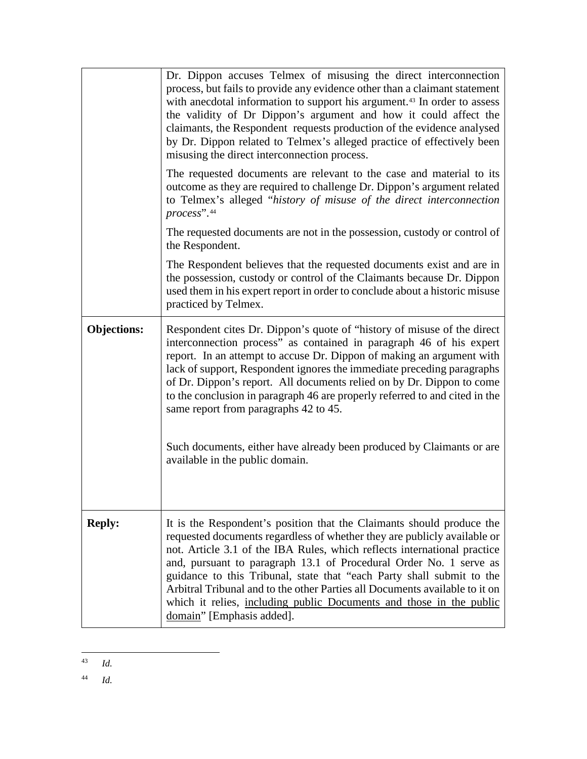|                    | Dr. Dippon accuses Telmex of misusing the direct interconnection<br>process, but fails to provide any evidence other than a claimant statement<br>with anecdotal information to support his argument. <sup>43</sup> In order to assess<br>the validity of Dr Dippon's argument and how it could affect the<br>claimants, the Respondent requests production of the evidence analysed<br>by Dr. Dippon related to Telmex's alleged practice of effectively been<br>misusing the direct interconnection process.<br>The requested documents are relevant to the case and material to its<br>outcome as they are required to challenge Dr. Dippon's argument related<br>to Telmex's alleged "history of misuse of the direct interconnection<br>process".44<br>The requested documents are not in the possession, custody or control of<br>the Respondent.<br>The Respondent believes that the requested documents exist and are in |
|--------------------|----------------------------------------------------------------------------------------------------------------------------------------------------------------------------------------------------------------------------------------------------------------------------------------------------------------------------------------------------------------------------------------------------------------------------------------------------------------------------------------------------------------------------------------------------------------------------------------------------------------------------------------------------------------------------------------------------------------------------------------------------------------------------------------------------------------------------------------------------------------------------------------------------------------------------------|
|                    | the possession, custody or control of the Claimants because Dr. Dippon<br>used them in his expert report in order to conclude about a historic misuse<br>practiced by Telmex.                                                                                                                                                                                                                                                                                                                                                                                                                                                                                                                                                                                                                                                                                                                                                    |
| <b>Objections:</b> | Respondent cites Dr. Dippon's quote of "history of misuse of the direct"<br>interconnection process" as contained in paragraph 46 of his expert<br>report. In an attempt to accuse Dr. Dippon of making an argument with<br>lack of support, Respondent ignores the immediate preceding paragraphs<br>of Dr. Dippon's report. All documents relied on by Dr. Dippon to come<br>to the conclusion in paragraph 46 are properly referred to and cited in the<br>same report from paragraphs 42 to 45.                                                                                                                                                                                                                                                                                                                                                                                                                              |
|                    | Such documents, either have already been produced by Claimants or are<br>available in the public domain.                                                                                                                                                                                                                                                                                                                                                                                                                                                                                                                                                                                                                                                                                                                                                                                                                         |
| <b>Reply:</b>      | It is the Respondent's position that the Claimants should produce the<br>requested documents regardless of whether they are publicly available or<br>not. Article 3.1 of the IBA Rules, which reflects international practice<br>and, pursuant to paragraph 13.1 of Procedural Order No. 1 serve as<br>guidance to this Tribunal, state that "each Party shall submit to the<br>Arbitral Tribunal and to the other Parties all Documents available to it on<br>which it relies, including public Documents and those in the public<br>domain" [Emphasis added].                                                                                                                                                                                                                                                                                                                                                                  |

<span id="page-37-0"></span> <sup>43</sup> *Id.*

<span id="page-37-1"></span><sup>44</sup> *Id.*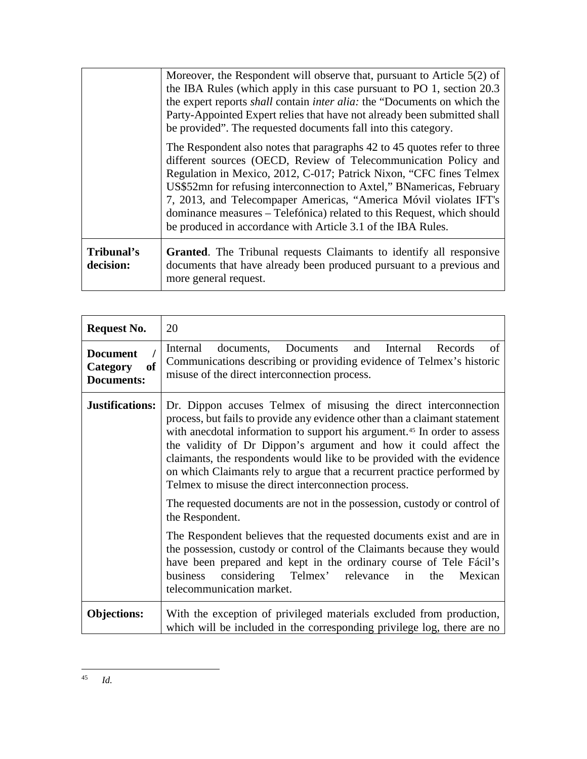|                         | Moreover, the Respondent will observe that, pursuant to Article 5(2) of<br>the IBA Rules (which apply in this case pursuant to PO 1, section 20.3)<br>the expert reports <i>shall</i> contain <i>inter alia</i> : the "Documents on which the<br>Party-Appointed Expert relies that have not already been submitted shall<br>be provided". The requested documents fall into this category.                                                                                                                |
|-------------------------|------------------------------------------------------------------------------------------------------------------------------------------------------------------------------------------------------------------------------------------------------------------------------------------------------------------------------------------------------------------------------------------------------------------------------------------------------------------------------------------------------------|
|                         | The Respondent also notes that paragraphs 42 to 45 quotes refer to three<br>different sources (OECD, Review of Telecommunication Policy and<br>Regulation in Mexico, 2012, C-017; Patrick Nixon, "CFC fines Telmex<br>US\$52mn for refusing interconnection to Axtel," BNamericas, February<br>7, 2013, and Telecompaper Americas, "America Móvil violates IFT's<br>dominance measures – Telefónica) related to this Request, which should<br>be produced in accordance with Article 3.1 of the IBA Rules. |
| Tribunal's<br>decision: | <b>Granted.</b> The Tribunal requests Claimants to identify all responsive<br>documents that have already been produced pursuant to a previous and<br>more general request.                                                                                                                                                                                                                                                                                                                                |

<span id="page-38-0"></span>

| <b>Request No.</b>                                                | 20                                                                                                                                                                                                                                                                                                                                                                                                                                                                                                                                                                                                                     |
|-------------------------------------------------------------------|------------------------------------------------------------------------------------------------------------------------------------------------------------------------------------------------------------------------------------------------------------------------------------------------------------------------------------------------------------------------------------------------------------------------------------------------------------------------------------------------------------------------------------------------------------------------------------------------------------------------|
| <b>Document</b><br><sub>of</sub><br>Category<br><b>Documents:</b> | documents, Documents<br>Internal<br>and<br>Internal<br>Records<br>of<br>Communications describing or providing evidence of Telmex's historic<br>misuse of the direct interconnection process.                                                                                                                                                                                                                                                                                                                                                                                                                          |
| Justifications:                                                   | Dr. Dippon accuses Telmex of misusing the direct interconnection<br>process, but fails to provide any evidence other than a claimant statement<br>with anecdotal information to support his argument. <sup>45</sup> In order to assess<br>the validity of Dr Dippon's argument and how it could affect the<br>claimants, the respondents would like to be provided with the evidence<br>on which Claimants rely to argue that a recurrent practice performed by<br>Telmex to misuse the direct interconnection process.<br>The requested documents are not in the possession, custody or control of<br>the Respondent. |
|                                                                   | The Respondent believes that the requested documents exist and are in<br>the possession, custody or control of the Claimants because they would<br>have been prepared and kept in the ordinary course of Tele Fácil's<br>considering Telmex' relevance<br>business<br>Mexican<br>in<br>the<br>telecommunication market.                                                                                                                                                                                                                                                                                                |
| <b>Objections:</b>                                                | With the exception of privileged materials excluded from production,<br>which will be included in the corresponding privilege log, there are no                                                                                                                                                                                                                                                                                                                                                                                                                                                                        |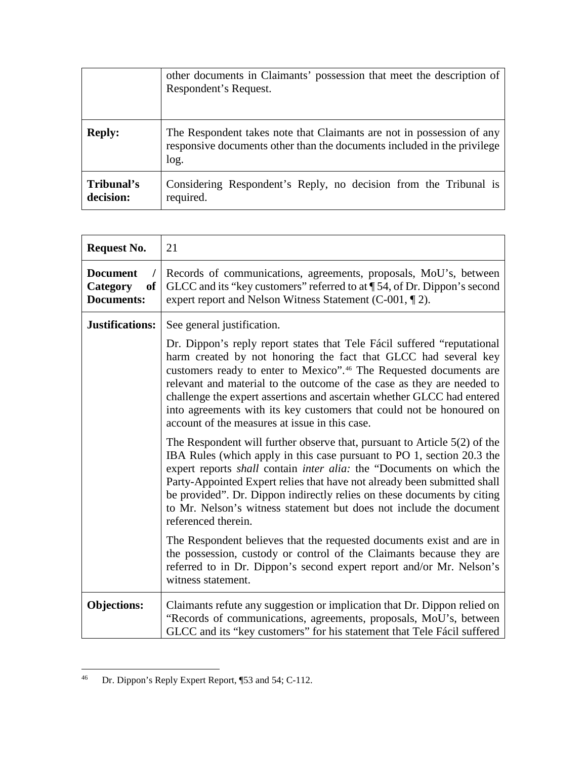|                         | other documents in Claimants' possession that meet the description of<br>Respondent's Request.                                                           |
|-------------------------|----------------------------------------------------------------------------------------------------------------------------------------------------------|
| <b>Reply:</b>           | The Respondent takes note that Claimants are not in possession of any<br>responsive documents other than the documents included in the privilege<br>log. |
| Tribunal's<br>decision: | Considering Respondent's Reply, no decision from the Tribunal is<br>required.                                                                            |

| <b>Request No.</b>                                                | 21                                                                                                                                                                                                                                                                                                                                                                                                                                                                                                          |
|-------------------------------------------------------------------|-------------------------------------------------------------------------------------------------------------------------------------------------------------------------------------------------------------------------------------------------------------------------------------------------------------------------------------------------------------------------------------------------------------------------------------------------------------------------------------------------------------|
| <b>Document</b><br><sub>of</sub><br>Category<br><b>Documents:</b> | Records of communications, agreements, proposals, MoU's, between<br>GLCC and its "key customers" referred to at $\P$ 54, of Dr. Dippon's second<br>expert report and Nelson Witness Statement (C-001, ¶ 2).                                                                                                                                                                                                                                                                                                 |
| <b>Justifications:</b>                                            | See general justification.                                                                                                                                                                                                                                                                                                                                                                                                                                                                                  |
|                                                                   | Dr. Dippon's reply report states that Tele Fácil suffered "reputational"<br>harm created by not honoring the fact that GLCC had several key<br>customers ready to enter to Mexico". <sup>46</sup> The Requested documents are<br>relevant and material to the outcome of the case as they are needed to<br>challenge the expert assertions and ascertain whether GLCC had entered<br>into agreements with its key customers that could not be honoured on<br>account of the measures at issue in this case. |
|                                                                   | The Respondent will further observe that, pursuant to Article $5(2)$ of the<br>IBA Rules (which apply in this case pursuant to PO 1, section 20.3 the<br>expert reports <i>shall</i> contain <i>inter alia</i> : the "Documents on which the<br>Party-Appointed Expert relies that have not already been submitted shall<br>be provided". Dr. Dippon indirectly relies on these documents by citing<br>to Mr. Nelson's witness statement but does not include the document<br>referenced therein.           |
|                                                                   | The Respondent believes that the requested documents exist and are in<br>the possession, custody or control of the Claimants because they are<br>referred to in Dr. Dippon's second expert report and/or Mr. Nelson's<br>witness statement.                                                                                                                                                                                                                                                                 |
| <b>Objections:</b>                                                | Claimants refute any suggestion or implication that Dr. Dippon relied on<br>"Records of communications, agreements, proposals, MoU's, between<br>GLCC and its "key customers" for his statement that Tele Fácil suffered                                                                                                                                                                                                                                                                                    |

<span id="page-39-0"></span> <sup>46</sup> Dr. Dippon's Reply Expert Report, ¶53 and 54; C-112.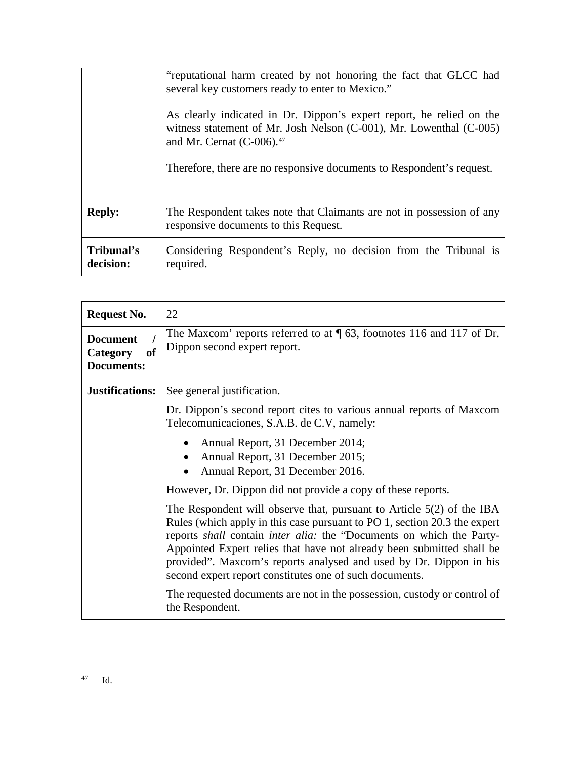|                         | "reputational harm created by not honoring the fact that GLCC had<br>several key customers ready to enter to Mexico."<br>As clearly indicated in Dr. Dippon's expert report, he relied on the<br>witness statement of Mr. Josh Nelson (C-001), Mr. Lowenthal (C-005)<br>and Mr. Cernat $(C-006)$ . <sup>47</sup><br>Therefore, there are no responsive documents to Respondent's request. |
|-------------------------|-------------------------------------------------------------------------------------------------------------------------------------------------------------------------------------------------------------------------------------------------------------------------------------------------------------------------------------------------------------------------------------------|
| <b>Reply:</b>           | The Respondent takes note that Claimants are not in possession of any<br>responsive documents to this Request.                                                                                                                                                                                                                                                                            |
| Tribunal's<br>decision: | Considering Respondent's Reply, no decision from the Tribunal is<br>required.                                                                                                                                                                                                                                                                                                             |

| <b>Request No.</b>                                     | 22                                                                                                                                                                                                                                                                                                                                                                                                                                     |
|--------------------------------------------------------|----------------------------------------------------------------------------------------------------------------------------------------------------------------------------------------------------------------------------------------------------------------------------------------------------------------------------------------------------------------------------------------------------------------------------------------|
| <b>Document</b><br>of<br>Category<br><b>Documents:</b> | The Maxcom' reports referred to at $\sqrt{\phantom{a}}$ 63, footnotes 116 and 117 of Dr.<br>Dippon second expert report.                                                                                                                                                                                                                                                                                                               |
| <b>Justifications:</b>                                 | See general justification.                                                                                                                                                                                                                                                                                                                                                                                                             |
|                                                        | Dr. Dippon's second report cites to various annual reports of Maxcom<br>Telecomunicaciones, S.A.B. de C.V, namely:                                                                                                                                                                                                                                                                                                                     |
|                                                        | Annual Report, 31 December 2014;<br>Annual Report, 31 December 2015;<br>Annual Report, 31 December 2016.                                                                                                                                                                                                                                                                                                                               |
|                                                        | However, Dr. Dippon did not provide a copy of these reports.                                                                                                                                                                                                                                                                                                                                                                           |
|                                                        | The Respondent will observe that, pursuant to Article $5(2)$ of the IBA<br>Rules (which apply in this case pursuant to PO 1, section 20.3 the expert<br>reports shall contain inter alia: the "Documents on which the Party-<br>Appointed Expert relies that have not already been submitted shall be<br>provided". Maxcom's reports analysed and used by Dr. Dippon in his<br>second expert report constitutes one of such documents. |
|                                                        | The requested documents are not in the possession, custody or control of<br>the Respondent.                                                                                                                                                                                                                                                                                                                                            |

<span id="page-40-0"></span> <sup>47</sup> Id.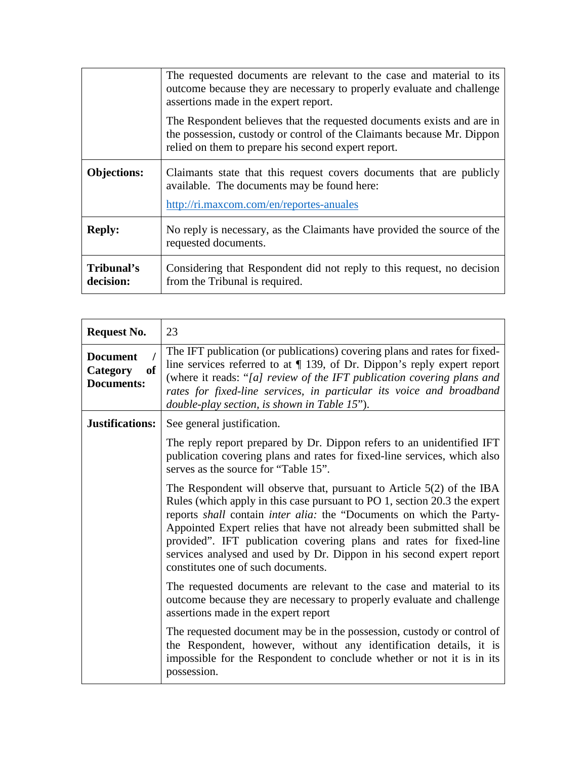|                         | The requested documents are relevant to the case and material to its<br>outcome because they are necessary to properly evaluate and challenge<br>assertions made in the expert report.                  |
|-------------------------|---------------------------------------------------------------------------------------------------------------------------------------------------------------------------------------------------------|
|                         | The Respondent believes that the requested documents exists and are in<br>the possession, custody or control of the Claimants because Mr. Dippon<br>relied on them to prepare his second expert report. |
| <b>Objections:</b>      | Claimants state that this request covers documents that are publicly<br>available. The documents may be found here:<br>http://ri.maxcom.com/en/reportes-anuales                                         |
| <b>Reply:</b>           | No reply is necessary, as the Claimants have provided the source of the<br>requested documents.                                                                                                         |
| Tribunal's<br>decision: | Considering that Respondent did not reply to this request, no decision<br>from the Tribunal is required.                                                                                                |

| <b>Request No.</b>                                                | 23                                                                                                                                                                                                                                                                                                                                                                                                                                                                                        |
|-------------------------------------------------------------------|-------------------------------------------------------------------------------------------------------------------------------------------------------------------------------------------------------------------------------------------------------------------------------------------------------------------------------------------------------------------------------------------------------------------------------------------------------------------------------------------|
| <b>Document</b><br>Category<br><sub>of</sub><br><b>Documents:</b> | The IFT publication (or publications) covering plans and rates for fixed-<br>line services referred to at $\P$ 139, of Dr. Dippon's reply expert report<br>(where it reads: "[a] review of the IFT publication covering plans and<br>rates for fixed-line services, in particular its voice and broadband<br>double-play section, is shown in Table 15").                                                                                                                                 |
| <b>Justifications:</b>                                            | See general justification.                                                                                                                                                                                                                                                                                                                                                                                                                                                                |
|                                                                   | The reply report prepared by Dr. Dippon refers to an unidentified IFT<br>publication covering plans and rates for fixed-line services, which also<br>serves as the source for "Table 15".                                                                                                                                                                                                                                                                                                 |
|                                                                   | The Respondent will observe that, pursuant to Article $5(2)$ of the IBA<br>Rules (which apply in this case pursuant to PO 1, section 20.3 the expert<br>reports shall contain inter alia: the "Documents on which the Party-<br>Appointed Expert relies that have not already been submitted shall be<br>provided". IFT publication covering plans and rates for fixed-line<br>services analysed and used by Dr. Dippon in his second expert report<br>constitutes one of such documents. |
|                                                                   | The requested documents are relevant to the case and material to its<br>outcome because they are necessary to properly evaluate and challenge<br>assertions made in the expert report                                                                                                                                                                                                                                                                                                     |
|                                                                   | The requested document may be in the possession, custody or control of<br>the Respondent, however, without any identification details, it is<br>impossible for the Respondent to conclude whether or not it is in its<br>possession.                                                                                                                                                                                                                                                      |